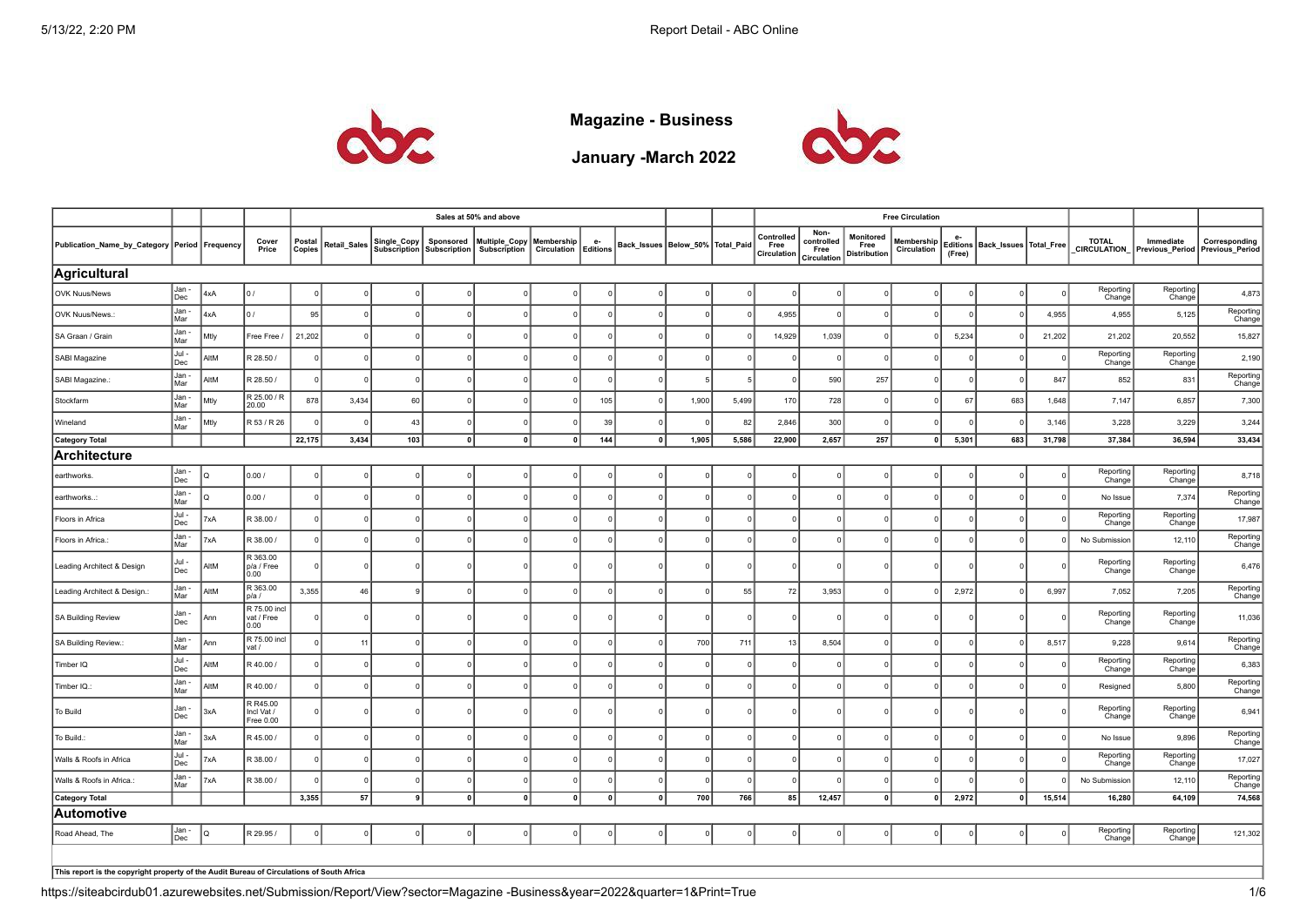

**Magazine - Business**

**January -March 2022**



|                                                                                           |                |             |                                            |                         |              |                                    |                                  | Sales at 50% and above               |                           |                       |              |                                      |          |                                   |                                           |                                          | <b>Free Circulation</b>   |              |                                     |            |                     |                                                           |                     |
|-------------------------------------------------------------------------------------------|----------------|-------------|--------------------------------------------|-------------------------|--------------|------------------------------------|----------------------------------|--------------------------------------|---------------------------|-----------------------|--------------|--------------------------------------|----------|-----------------------------------|-------------------------------------------|------------------------------------------|---------------------------|--------------|-------------------------------------|------------|---------------------|-----------------------------------------------------------|---------------------|
| Publication_Name_by_Category Period Frequency                                             |                |             | Cover<br>Price                             | Postal<br><b>Copies</b> | Retail_Sales | Single_Copy<br><b>Subscription</b> | Sponsored<br><b>Subscription</b> | Multiple_Copy<br><b>Subscription</b> | Membership<br>Circulation | e-<br><b>Editions</b> |              | Back_Issues   Below_50%   Total_Paid |          | Controlled<br>Free<br>Circulation | Non-<br>controlled<br>Free<br>Circulation | Monitored<br>Free<br><b>Distribution</b> | Membership<br>Circulation | е-<br>(Free) | Editions   Back_Issues   Total_Free |            | <b>TOTAL</b>        | Immediate<br>CIRCULATION_ Previous_Period Previous_Period | Corresponding       |
| Agricultural                                                                              |                |             |                                            |                         |              |                                    |                                  |                                      |                           |                       |              |                                      |          |                                   |                                           |                                          |                           |              |                                     |            |                     |                                                           |                     |
| OVK Nuus/News                                                                             | Jan -<br>Dec   | 4xA         | lo /                                       |                         |              |                                    |                                  |                                      |                           |                       |              |                                      |          |                                   |                                           |                                          |                           |              |                                     |            | Reporting<br>Change | Reporting<br>Change                                       | 4,873               |
| OVK Nuus/News.:                                                                           | Jan -<br>Mar   | 4xA         | lo /                                       | 95                      |              |                                    |                                  |                                      |                           | $\Omega$              |              | $\Omega$                             |          | 4,955                             |                                           |                                          | $\Omega$                  |              |                                     | 4,955      | 4,955               | 5,125                                                     | Reporting<br>Change |
| SA Graan / Grain                                                                          | Jan -<br>Mar   | Mtly        | Free Free /                                | 21,202                  | $\Omega$     |                                    |                                  |                                      |                           | $\Omega$              |              | $\Omega$                             |          | 14,929                            | 1,039                                     |                                          |                           | 5,234        |                                     | 21,202     | 21,202              | 20,552                                                    | 15,827              |
| SABI Magazine                                                                             | $Jul -$<br>Dec | AltM        | R 28.50 /                                  | $\Omega$                |              |                                    |                                  |                                      |                           |                       |              |                                      |          |                                   |                                           |                                          | $\Omega$                  |              |                                     | $\Omega$   | Reporting<br>Change | Reporting<br>Change                                       | 2,190               |
| SABI Magazine.:                                                                           | Jan -<br>Mar   | AltM        | R 28.50 /                                  | -o l                    | $\Omega$     | $\Omega$                           |                                  |                                      |                           | $\Omega$              |              | -5                                   |          |                                   | 590                                       | 257                                      | $\Omega$                  |              |                                     | 847        | 852                 | 831                                                       | Reporting<br>Change |
| Stockfarm                                                                                 | Jan -<br>Mar   | Mtly        | R 25.00 / R<br>20.00                       | 878                     | 3,434        | 60                                 |                                  |                                      |                           | 105                   |              | 1,900                                | 5,499    | 170                               | 728                                       | $\Omega$                                 | $\Omega$                  | 67           | 683                                 | 1,648      | 7,147               | 6,857                                                     | 7,300               |
| Wineland                                                                                  | Jan -<br>Mar   | Mtly        | R 53 / R 26                                |                         |              | 43                                 |                                  |                                      |                           | 39                    |              |                                      | 82       | 2,846                             | 300                                       |                                          | $\Omega$                  |              |                                     | 3,146      | 3,228               | 3,229                                                     | 3,244               |
| Category Total                                                                            |                |             |                                            | 22,175                  | 3,434        | 103                                | 0                                | $\overline{0}$                       | $\mathbf 0$               | 144                   | $\mathbf{0}$ | 1,905                                | 5,586    | 22,900                            | 2,657                                     | 257                                      | 0                         | 5,301        | 683                                 | 31,798     | 37,384              | 36,594                                                    | 33,434              |
| Architecture                                                                              |                |             |                                            |                         |              |                                    |                                  |                                      |                           |                       |              |                                      |          |                                   |                                           |                                          |                           |              |                                     |            |                     |                                                           |                     |
| earthworks.                                                                               | Jan -<br>Dec   |             | 0.00/                                      | $\Omega$                |              |                                    |                                  |                                      |                           |                       |              |                                      |          |                                   |                                           |                                          | $\Omega$                  |              |                                     | $\Omega$   | Reporting<br>Change | Reporting<br>Change                                       | 8,718               |
| earthworks                                                                                | Jan -<br>Mar   |             | 0.00 /                                     | $\Omega$                |              |                                    |                                  |                                      |                           | $\Omega$              |              | $\Omega$                             | $\Omega$ |                                   |                                           |                                          | $\Omega$                  |              |                                     | $\Omega$   | No Issue            | 7,374                                                     | Reporting<br>Change |
| Floors in Africa                                                                          | Jul -<br>Dec   | 7xA         | R 38.00 /                                  | 0                       | $^{\circ}$   |                                    |                                  |                                      |                           | $\Omega$              |              | $\Omega$                             |          |                                   |                                           |                                          | $\mathbf 0$               |              |                                     |            | Reporting<br>Change | Reporting<br>Change                                       | 17,987              |
| Floors in Africa.                                                                         | Jan-<br>Mar    | 7xA         | R 38.00 /                                  | $\Omega$                | 0 I          |                                    |                                  |                                      |                           | $\Omega$              |              | $\Omega$                             | $\Omega$ |                                   |                                           |                                          | $\Omega$                  |              |                                     | $\Omega$   | No Submission       | 12,110                                                    | Reporting<br>Change |
| Leading Architect & Design                                                                | Jul -<br>Dec   | AltM        | R 363.00<br>p/a / Free<br>0.00             | $\Omega$                | $^{\circ}$   |                                    |                                  |                                      | $\Omega$                  | $\Omega$              |              | $^{\circ}$                           | $\Omega$ |                                   | $\Omega$                                  | $^{\circ}$                               | $\mathbf 0$               |              |                                     |            | Reporting<br>Change | Reporting<br>Change                                       | 6,476               |
| Leading Architect & Design.:                                                              | Jan -<br>Mar   | <b>AltM</b> | R 363.00<br>D/a/                           | 3,355                   | 46           |                                    |                                  |                                      |                           | $\Omega$              |              | $\Omega$                             | 55       | 72                                | 3,953                                     |                                          | $\Omega$                  | 2,972        |                                     | 6,997      | 7,052               | 7,205                                                     | Reporting<br>Change |
| SA Building Review                                                                        | Jan -<br>Dec   | Ann         | R 75.00 incl<br>vat / Free<br>0.00         |                         | $^{\circ}$   |                                    |                                  |                                      |                           | $\Omega$              |              | $^{\circ}$                           |          |                                   |                                           |                                          | $\circ$                   |              |                                     | $\Omega$   | Reporting<br>Change | Reporting<br>Change                                       | 11,036              |
| SA Building Review.:                                                                      | Jan -<br>Mar   | Ann         | R 75.00 incl<br>vat /                      | $\Omega$                | 11           |                                    |                                  |                                      |                           | $\Omega$              |              | 700                                  | 711      | 13                                | 8,504                                     |                                          | $\mathbf 0$               |              |                                     | 8,517      | 9,228               | 9,614                                                     | Reporting<br>Change |
| Timber IQ                                                                                 | Jul -<br>Dec   | AltM        | R 40.00 /                                  | $\Omega$                | $\Omega$     |                                    |                                  |                                      |                           | $\Omega$              |              | $\Omega$                             | $\Omega$ |                                   |                                           |                                          | $\Omega$                  |              |                                     | $\Omega$   | Reporting<br>Change | Reporting<br>Change                                       | 6,383               |
| Timber IQ.:                                                                               | Jan -<br>Mar   | MtM         | R 40.00 /                                  | $\Omega$                | $\Omega$     |                                    |                                  |                                      |                           | $\Omega$              |              | $\Omega$                             |          |                                   |                                           |                                          | $\Omega$                  |              |                                     | $\Omega$   | Resigned            | 5,800                                                     | Reporting<br>Change |
| To Build                                                                                  | Jan -<br>Dec   | 3xA         | R R45.00<br>Incl Vat /<br><b>Free 0.00</b> | $\mathbf 0$             |              |                                    |                                  |                                      |                           | $\Omega$              |              | $\Omega$                             |          |                                   |                                           |                                          | $\Omega$                  |              |                                     | $^{\circ}$ | Reporting<br>Change | Reporting<br>Change                                       | 6,941               |
| To Build.:                                                                                | Jan -<br>Mar   | 3xA         | R 45.00 /                                  | $\Omega$                | $\Omega$     |                                    |                                  |                                      |                           | $\Omega$              |              | $\Omega$                             |          |                                   |                                           |                                          | $\Omega$                  |              |                                     | $\Omega$   | No Issue            | 9,896                                                     | Reporting<br>Change |
| Walls & Roofs in Africa                                                                   | Jul -<br>Dec   | XA          | R 38.00 /                                  | $\Omega$                |              |                                    |                                  |                                      |                           |                       |              | $\Omega$                             |          |                                   |                                           |                                          | $\Omega$                  |              |                                     |            | Reporting<br>Change | Reporting<br>Change                                       | 17,027              |
| Walls & Roofs in Africa.                                                                  | Jan -<br>Mar   | XA          | R 38.00 /                                  |                         | $\Omega$     |                                    |                                  |                                      |                           | - 0                   |              | $\Omega$                             |          |                                   |                                           |                                          | $\Omega$                  |              |                                     |            | No Submission       | 12,110                                                    | Reporting<br>Change |
| <b>Category Total</b>                                                                     |                |             |                                            | 3,355                   | 57           |                                    |                                  |                                      | 0                         | $\mathbf{0}$          | $\mathbf{0}$ | 700                                  | 766      | 85                                | 12,457                                    | 0                                        | $\mathbf{0}$              | 2,972        | 0                                   | 15,514     | 16,280              | 64,109                                                    | 74,568              |
| Automotive                                                                                |                |             |                                            |                         |              |                                    |                                  |                                      |                           |                       |              |                                      |          |                                   |                                           |                                          |                           |              |                                     |            |                     |                                                           |                     |
| Road Ahead, The                                                                           | Jan -<br>Dec   |             | R 29.95 /                                  | $\Omega$                |              |                                    |                                  |                                      |                           |                       |              |                                      |          |                                   |                                           |                                          |                           |              |                                     |            | Reporting<br>Change | Reporting<br>Change                                       | 121,302             |
| This report is the copyright property of the Audit Bureau of Circulations of South Africa |                |             |                                            |                         |              |                                    |                                  |                                      |                           |                       |              |                                      |          |                                   |                                           |                                          |                           |              |                                     |            |                     |                                                           |                     |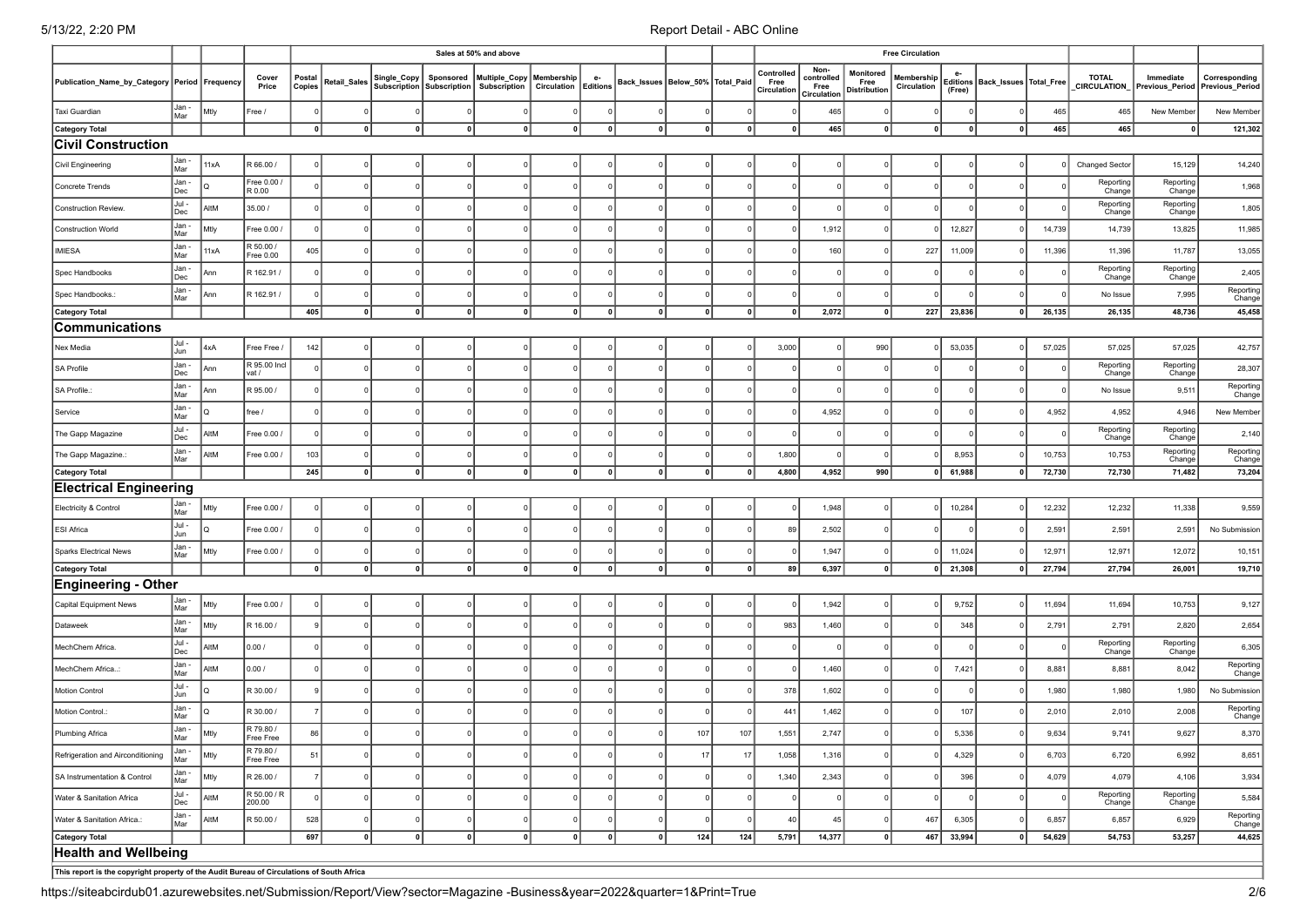|                                                                                           |                |      |                        |                  |              |                |                                                    | Sales at 50% and above        |                                    |              |                                      | <b>Free Circulation</b> |          |                                   |                                           |                                          |                           |              |                                     |        |                                    |                     |                                                  |
|-------------------------------------------------------------------------------------------|----------------|------|------------------------|------------------|--------------|----------------|----------------------------------------------------|-------------------------------|------------------------------------|--------------|--------------------------------------|-------------------------|----------|-----------------------------------|-------------------------------------------|------------------------------------------|---------------------------|--------------|-------------------------------------|--------|------------------------------------|---------------------|--------------------------------------------------|
| Publication_Name_by_Category Period Frequency                                             |                |      | Cover<br>Price         | Postal<br>Copies | Retail_Sales |                | Single_Copy Sponsored<br>Subscription Subscription | Multiple_Copy<br>Subscription | Membership<br>Circulation Editions | e-           | Back_Issues   Below_50%   Total_Paid |                         |          | Controlled<br>Free<br>Circulation | Non-<br>controlled<br>Free<br>Circulation | Monitored<br>Free<br><b>Distribution</b> | Membership<br>Circulation | e-<br>(Free) | Editions   Back_Issues   Total_Free |        | <b>TOTAL</b><br><b>CIRCULATION</b> | Immediate           | Corresponding<br>Previous_Period Previous_Period |
| Taxi Guardian                                                                             | Jan -<br>Mar   | Mtly | Free /                 | $\Omega$         |              | $\Omega$       |                                                    |                               |                                    |              |                                      |                         |          |                                   | 465                                       | -0                                       | $\Omega$                  |              |                                     | 465    | 465                                | New Member          | New Member                                       |
| <b>Category Total</b>                                                                     |                |      |                        | $\mathbf{0}$     | 0            | $\mathbf 0$    |                                                    | $\mathbf 0$                   | $\mathbf{0}$                       | $\mathbf 0$  | $\mathbf 0$                          | $\mathbf 0$             | 0        |                                   | 465                                       | 0                                        | $\mathbf 0$               | $\mathbf{0}$ |                                     | 465    | 465                                | 0                   | 121,302                                          |
| <b>Civil Construction</b>                                                                 |                |      |                        |                  |              |                |                                                    |                               |                                    |              |                                      |                         |          |                                   |                                           |                                          |                           |              |                                     |        |                                    |                     |                                                  |
| Civil Engineering                                                                         | Jan -<br>Mar   | 11xA | R 66.00 /              |                  |              |                |                                                    |                               |                                    |              |                                      |                         |          |                                   |                                           |                                          |                           |              |                                     |        | <b>Changed Sector</b>              | 15,129              | 14,240                                           |
| Concrete Trends                                                                           | Jan -<br>Dec   | lo.  | Free 0.00<br>R 0.00    | $\Omega$         |              | $\Omega$       |                                                    |                               |                                    |              |                                      |                         |          |                                   |                                           |                                          | $\Omega$                  |              |                                     |        | Reporting<br>Change                | Reporting<br>Change | 1,968                                            |
| Construction Review.                                                                      | Jul -<br>Dec   | AltM | 35.00 /                | $\Omega$         |              |                |                                                    |                               |                                    |              |                                      |                         |          |                                   |                                           |                                          | $\Omega$                  |              |                                     |        | Reporting<br>Change                | Reporting<br>Change | 1,805                                            |
| <b>Construction World</b>                                                                 | Jan -<br>Mar   | Mtly | Free 0.00 /            | $\mathbf 0$      |              |                |                                                    |                               |                                    |              |                                      |                         |          |                                   | 1,912                                     |                                          |                           | 12,827       |                                     | 14,739 | 14,739                             | 13,825              | 11,985                                           |
| <b>IMIESA</b>                                                                             | Jan -<br>Mar   | 11xA | R 50.00 /<br>Free 0.00 | 405              |              |                |                                                    |                               |                                    |              |                                      |                         |          |                                   | 160                                       |                                          | 227                       | 11,009       |                                     | 11,396 | 11,396                             | 11,787              | 13,055                                           |
| Spec Handbooks                                                                            | Jan -<br>Dec   | Ann  | R 162.91/              | $\Omega$         |              | $\Omega$       |                                                    |                               |                                    |              |                                      |                         |          |                                   |                                           |                                          |                           |              |                                     |        | Reporting<br>Change                | Reporting<br>Change | 2,405                                            |
| Spec Handbooks.                                                                           | Jan -<br>Mar   | Ann  | R 162.91 /             | $\mathbf 0$      |              | $\overline{0}$ |                                                    |                               |                                    |              |                                      |                         |          |                                   |                                           |                                          |                           |              |                                     |        | No Issue                           | 7,995               | Reporting<br>Change                              |
| <b>Category Total</b>                                                                     |                |      |                        | 405              | 0            | 0              | 0                                                  | -o l                          | 0                                  | 0            | 0                                    | $\mathbf{0}$            | 0        | 0                                 | 2,072                                     | 0                                        | 227                       | 23,836       | $\Omega$                            | 26,135 | 26,135                             | 48,736              | 45,458                                           |
| Communications                                                                            |                |      |                        |                  |              |                |                                                    |                               |                                    |              |                                      |                         |          |                                   |                                           |                                          |                           |              |                                     |        |                                    |                     |                                                  |
| Nex Media                                                                                 | Jul -<br>Jun   | 4xA  | Free Free /            | 142              |              |                |                                                    |                               |                                    |              |                                      |                         |          | 3,000                             |                                           | 990                                      |                           | 53,035       |                                     | 57,025 | 57,025                             | 57,025              | 42,757                                           |
| <b>SA Profile</b>                                                                         | Jan -<br>Dec   | Ann  | R 95.00 Incl<br>vat /  | $\mathbf 0$      |              | 0              |                                                    |                               |                                    |              |                                      |                         |          |                                   |                                           |                                          |                           |              |                                     |        | Reporting<br>Change                | Reporting<br>Change | 28,307                                           |
| SA Profile.:                                                                              | Jan -<br>Mar   | Ann  | R 95.00 /              | $\mathbf 0$      |              | $\Omega$       |                                                    |                               |                                    |              |                                      |                         |          |                                   |                                           |                                          | $\mathbf 0$               |              |                                     |        | No Issue                           | 9,511               | Reporting<br>Change                              |
| Service                                                                                   | Jan -<br>Mar   | lo.  | ree /                  | <sup>0</sup>     |              |                |                                                    |                               |                                    |              |                                      |                         |          |                                   | 4,952                                     |                                          | $\Omega$                  |              |                                     | 4,952  | 4,952                              | 4,946               | New Member                                       |
| The Gapp Magazine                                                                         | Jul -<br>Dec   | AltM | Free 0.00 /            | $\Omega$         |              | $\Omega$       |                                                    |                               |                                    |              |                                      |                         |          |                                   |                                           |                                          |                           |              |                                     |        | Reporting<br>Change                | Reporting<br>Change | 2,140                                            |
| The Gapp Magazine.                                                                        | Jan -<br>Mar   | AltM | Free 0.00 /            | 103              |              | $\Omega$       |                                                    |                               |                                    |              |                                      |                         |          | 1,800                             |                                           |                                          |                           | 8,953        |                                     | 10,753 | 10,753                             | Reporting<br>Change | Reporting<br>Change                              |
| <b>Category Total</b>                                                                     |                |      |                        | 245              | $\mathbf{0}$ | 0              |                                                    | $\Omega$                      | $\Omega$                           | $\mathbf{0}$ | 0                                    | $\mathbf{0}$            | 0        | 4,800                             | 4,952                                     | 990                                      | 0                         | 61,988       | 0                                   | 72,730 | 72,730                             | 71,482              | 73,204                                           |
| <b>Electrical Engineering</b>                                                             |                |      |                        |                  |              |                |                                                    |                               |                                    |              |                                      |                         |          |                                   |                                           |                                          |                           |              |                                     |        |                                    |                     |                                                  |
| Electricity & Control                                                                     | Jan -<br>Mar   | Mtly | Free 0.00 /            | $\Omega$         |              | $\Omega$       |                                                    |                               |                                    |              |                                      |                         |          |                                   | 1,948                                     | $\Omega$                                 | $\Omega$                  | 10,284       |                                     | 12,232 | 12,232                             | 11,338              | 9,559                                            |
| ESI Africa                                                                                | Jul -<br>Jun   | lQ   | Free 0.00 /            | $\Omega$         |              | $\Omega$       |                                                    |                               |                                    |              |                                      |                         |          | 89                                | 2,502                                     |                                          |                           |              |                                     | 2,591  | 2,591                              | 2,591               | No Submission                                    |
| Sparks Electrical News                                                                    | Jan -<br>Mar   | Mtly | Free 0.00 /            | $\Omega$         |              | $\Omega$       |                                                    |                               |                                    |              |                                      |                         |          |                                   | 1,947                                     |                                          |                           | 11,024       |                                     | 12,97' | 12,971                             | 12,072              | 10,151                                           |
| <b>Category Total</b>                                                                     |                |      |                        | 0                | 0            | $\mathbf 0$    |                                                    | $\mathbf{0}$                  | 0                                  | 0            | $\mathbf 0$                          | $\mathbf{0}$            | 0        | 89                                | 6,397                                     | 0                                        | 0                         | 21,308       | $\overline{\mathbf{0}}$             | 27,794 | 27,794                             | 26,001              | 19,710                                           |
| <b>Engineering - Other</b>                                                                |                |      |                        |                  |              |                |                                                    |                               |                                    |              |                                      |                         |          |                                   |                                           |                                          |                           |              |                                     |        |                                    |                     |                                                  |
| Capital Equipment News                                                                    | Jan -<br>Mar   | Mtly | Free 0.00 /            |                  |              |                |                                                    |                               |                                    |              |                                      |                         |          |                                   | 1,942                                     |                                          |                           | 9,752        |                                     | 11,694 | 11,694                             | 10,753              | 9,127                                            |
| Dataweek                                                                                  | Jan -<br>Mar   | Mtly | R 16.00 /              | q                |              | $\Omega$       |                                                    |                               |                                    |              |                                      |                         |          | 983                               | 1,460                                     |                                          |                           | 348          |                                     | 2,791  | 2,791                              | 2,820               | 2,654                                            |
| MechChem Africa.                                                                          | Jul -<br>Dec   | AltM | 0.00/                  | $\mathbf 0$      |              | $\Omega$       |                                                    |                               |                                    |              |                                      |                         |          |                                   |                                           |                                          |                           |              |                                     |        | Reporting<br>Change                | Reporting<br>Change | 6,305                                            |
| MechChem Africa                                                                           | Jan -<br>Mar   | AltM | 0.00/                  | $\Omega$         |              | $\Omega$       |                                                    |                               |                                    |              |                                      |                         |          |                                   | 1,460                                     |                                          |                           | 7,421        |                                     | 8,881  | 8,881                              | 8,042               | Reporting<br>Change                              |
| <b>Motion Control</b>                                                                     | Jul -<br>Jun   | lο   | R 30.00 /              | 9                |              | $\Omega$       |                                                    |                               |                                    |              |                                      |                         |          | 378                               | 1,602                                     |                                          |                           |              |                                     | 1,980  | 1,980                              | 1,980               | No Submission                                    |
| Motion Control.:                                                                          | Jan -<br>Mar   | Ιo   | R 30.00 /              | $\overline{7}$   |              | $\Omega$       |                                                    |                               |                                    |              |                                      |                         |          | 441                               | 1,462                                     |                                          |                           | 107          |                                     | 2,010  | 2,010                              | 2,008               | Reporting<br>Change                              |
| Plumbing Africa                                                                           | Jan -<br>l Mar | Mtly | R 79.80 /<br>Free Free | 86               |              | $\mathbf 0$    |                                                    |                               |                                    |              | $\mathbf 0$                          | 107                     | 107      | 1,551                             | 2,747                                     | $\Omega$                                 | $\mathbf 0$               | 5,336        |                                     | 9,634  | 9,741                              | 9,627               | 8,370                                            |
| Refrigeration and Airconditioning                                                         | Jan -<br>Mar   | Mtly | R 79.80 /<br>Free Free | 51               |              | $\mathbf 0$    |                                                    | $\Omega$                      |                                    | $\Omega$     |                                      | 17                      | 17       | 1,058                             | 1,316                                     | $\Omega$                                 |                           | 4,329        |                                     | 6,703  | 6,720                              | 6,992               | 8,651                                            |
| SA Instrumentation & Control                                                              | Jan -<br>Mar   | Mtly | R 26.00 /              | $\overline{7}$   |              | $\Omega$       |                                                    |                               |                                    |              |                                      |                         |          | 1,340                             | 2,343                                     |                                          | $\mathbf 0$               | 396          |                                     | 4,079  | 4,079                              | 4,106               | 3,934                                            |
| Water & Sanitation Africa                                                                 | Jul -<br>Dec   | AltM | R 50.00 / R<br>200.00  | $\Omega$         |              | $\Omega$       |                                                    |                               |                                    |              |                                      |                         |          |                                   | $\Omega$                                  |                                          | $\Omega$                  |              |                                     |        | Reporting<br>Change                | Reporting<br>Change | 5,584                                            |
| Water & Sanitation Africa.:                                                               | Jan -<br>Mar   | AltM | R 50.00 /              | 528              |              | 0              |                                                    | $\Omega$                      |                                    | $\Omega$     | $^{\circ}$                           | $\Omega$                | $\Omega$ | 40                                | 45                                        | $\mathbf 0$                              | 467                       | 6,305        |                                     | 6,857  | 6,857                              | 6,929               | Reporting<br>Change                              |
| Category Total                                                                            |                |      |                        | 697              | 0            | 0              | 0                                                  | 0                             | 0                                  | 0            | 0                                    | 124                     | 124      | 5,791                             | 14,377                                    | 0                                        | 467                       | 33,994       | 0                                   | 54,629 | 54,753                             | 53,257              | 44,625                                           |
| <b>Health and Wellbeing</b>                                                               |                |      |                        |                  |              |                |                                                    |                               |                                    |              |                                      |                         |          |                                   |                                           |                                          |                           |              |                                     |        |                                    |                     |                                                  |
| This report is the copyright property of the Audit Bureau of Circulations of South Africa |                |      |                        |                  |              |                |                                                    |                               |                                    |              |                                      |                         |          |                                   |                                           |                                          |                           |              |                                     |        |                                    |                     |                                                  |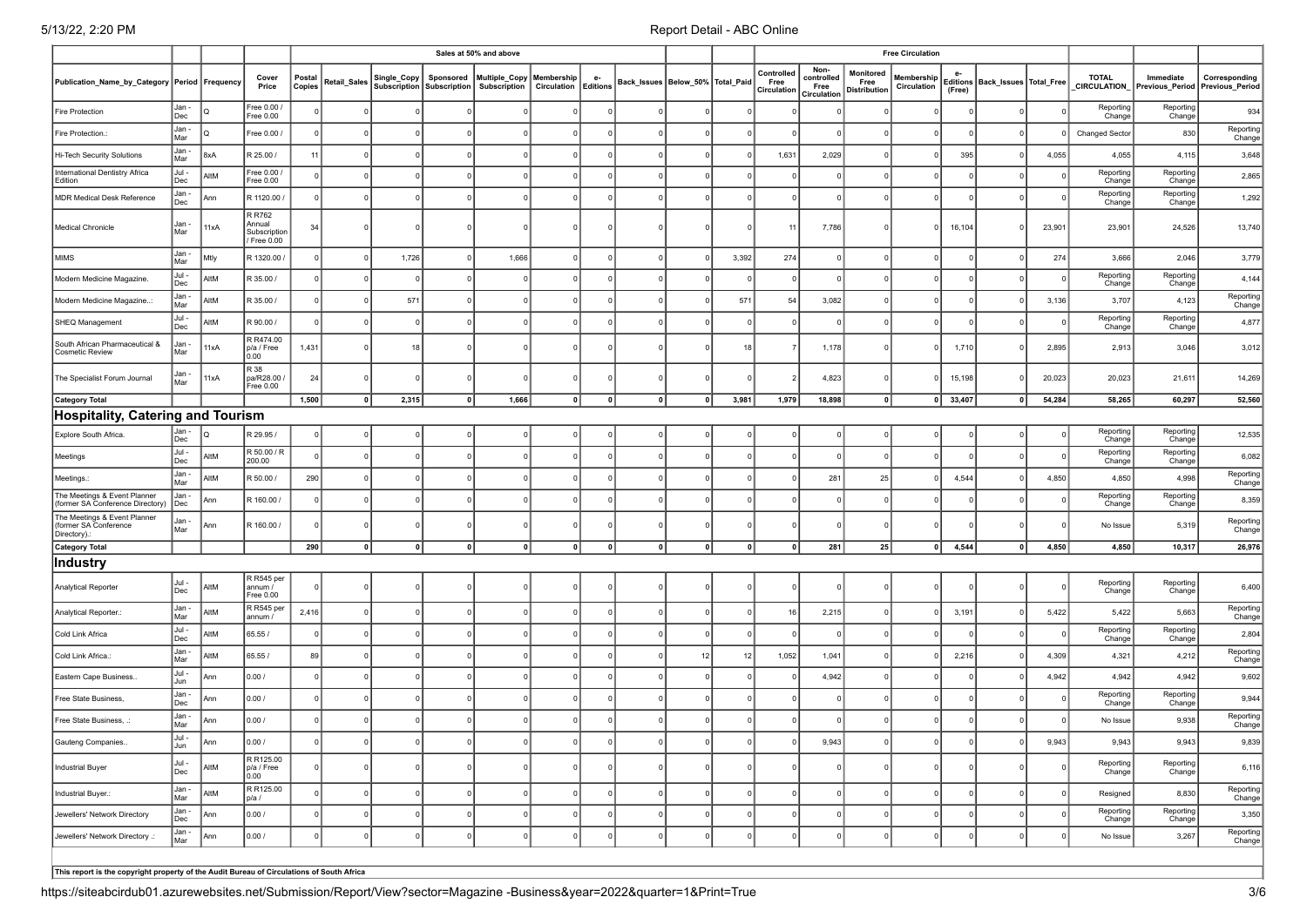|                                                                      |              |             |                                               |                  |              |              |                                        | Sales at 50% and above               |                                    |             |                                      |              |             |                                   |                                           |                                   | <b>Free Circulation</b>   |          |                                     |        |                                    |                                              |                     |
|----------------------------------------------------------------------|--------------|-------------|-----------------------------------------------|------------------|--------------|--------------|----------------------------------------|--------------------------------------|------------------------------------|-------------|--------------------------------------|--------------|-------------|-----------------------------------|-------------------------------------------|-----------------------------------|---------------------------|----------|-------------------------------------|--------|------------------------------------|----------------------------------------------|---------------------|
| Publication_Name_by_Category Period Frequency                        |              |             | Cover<br>Price                                | Postal<br>Copies | Retail_Sales | Single_Copy  | Sponsored<br>Subscription Subscription | Multiple_Copy<br><b>Subscription</b> | Membership<br>Circulation Editions | e-          | Back_Issues   Below_50%   Total_Paid |              |             | Controlled<br>Free<br>Circulation | Non-<br>controlled<br>Free<br>Circulation | Monitored<br>Free<br>Distribution | Membership<br>Circulation | (Free)   | Editions   Back_Issues   Total_Free |        | <b>TOTAL</b><br><b>CIRCULATION</b> | Immediate<br>Previous_Period Previous_Period | Corresponding       |
| <b>Fire Protection</b>                                               | Jan -<br>Dec |             | Free 0.00<br>Free 0.00                        |                  |              |              |                                        |                                      |                                    |             |                                      |              |             |                                   |                                           |                                   | $\Omega$                  |          |                                     |        | Reporting<br>Change                | Reporting<br>Change                          | 934                 |
| Fire Protection.:                                                    | Jan -<br>Mar | lo          | Free 0.00                                     |                  |              |              |                                        |                                      |                                    |             |                                      |              |             |                                   |                                           |                                   | $\Omega$                  |          |                                     |        | <b>Changed Sector</b>              | 830                                          | Reporting<br>Change |
| Hi-Tech Security Solutions                                           | Jan -<br>Mar | 8xA         | R 25.00 /                                     | 11               |              |              |                                        |                                      |                                    |             |                                      |              |             | 1,631                             | 2,029                                     |                                   | $\Omega$                  | 395      |                                     | 4,055  | 4,055                              | 4,115                                        | 3,648               |
| International Dentistry Africa<br>Edition                            | Jul -<br>Dec | AltM        | Free 0.00<br>Free 0.00                        |                  |              |              |                                        |                                      |                                    |             |                                      |              |             |                                   | $\Omega$                                  |                                   |                           |          |                                     |        | Reporting<br>Change                | Reporting<br>Change                          | 2,865               |
| <b>MDR Medical Desk Reference</b>                                    | Jan -<br>Dec | Ann         | R 1120.00                                     |                  |              |              |                                        |                                      |                                    |             |                                      |              |             |                                   |                                           |                                   | $\Omega$                  |          |                                     |        | Reporting<br>Change                | Reporting<br>Change                          | 1,292               |
| Medical Chronicle                                                    | Jan -<br>Mar | 11xA        | R R762<br>Annual<br>Subscription<br>Free 0.00 | 34               |              |              |                                        |                                      |                                    |             |                                      |              |             | 11                                | 7,786                                     |                                   | $\overline{0}$            | 16,104   |                                     | 23,901 | 23,901                             | 24,526                                       | 13,740              |
| <b>MIMS</b>                                                          | Jan -<br>Mar | Mtly        | R 1320.00 /                                   |                  |              | 1,726        |                                        | 1,666                                |                                    |             |                                      |              | 3,392       | 274                               |                                           |                                   |                           |          |                                     | 274    | 3,666                              | 2,046                                        | 3,779               |
| Modern Medicine Magazine.                                            | Jul -<br>Dec | AltM        | R 35.00 /                                     |                  |              | $\Omega$     |                                        |                                      |                                    |             |                                      |              |             |                                   |                                           |                                   | $\Omega$                  |          |                                     |        | Reporting<br>Change                | Reporting<br>Change                          | 4,144               |
| Modern Medicine Magazine:                                            | Jan -<br>Mar | <b>AltM</b> | R 35.00 /                                     |                  |              | 571          |                                        |                                      |                                    |             |                                      |              | 571         | 54                                | 3,082                                     |                                   | $\Omega$                  |          |                                     | 3,136  | 3,707                              | 4,123                                        | Reporting<br>Change |
| SHEQ Management                                                      | Jul -<br>Dec | AltM        | R 90.00 /                                     |                  |              | $\Omega$     |                                        |                                      |                                    |             |                                      |              |             |                                   | $\Omega$                                  |                                   | $\Omega$                  |          |                                     |        | Reporting<br>Change                | Reporting<br>Change                          | 4,877               |
| South African Pharmaceutical &<br>Cosmetic Review                    | Jan -<br>Mar | 11xA        | R R474.00<br>p/a / Free<br>0.00               | 1,431            |              | 18           |                                        |                                      |                                    |             |                                      |              | 18          |                                   | 1,178                                     |                                   | $\overline{0}$            | 1,710    |                                     | 2,895  | 2,913                              | 3,046                                        | 3,012               |
| The Specialist Forum Journal                                         | Jan -<br>Mar | 11xA        | R 38<br>pa/R28.00 /<br>Free 0.00              | 24               |              | $\Omega$     |                                        |                                      |                                    |             |                                      |              |             |                                   | 4,823                                     |                                   | $\Omega$                  | 15,198   |                                     | 20,023 | 20,023                             | 21,611                                       | 14,269              |
| <b>Category Total</b>                                                |              |             |                                               | 1,500            | 0            | 2,315        | 0                                      | 1,666                                | 0                                  | 0           | 0                                    | $\mathbf{0}$ | 3,981       | 1,979                             | 18,898                                    | $\mathbf{0}$                      | 0                         | 33,407   | 0                                   | 54,284 | 58,265                             | 60,297                                       | 52,560              |
| Hospitality, Catering and Tourism                                    |              |             |                                               |                  |              |              |                                        |                                      |                                    |             |                                      |              |             |                                   |                                           |                                   |                           |          |                                     |        |                                    |                                              |                     |
| Explore South Africa.                                                | Jan -<br>Dec |             | R 29.95 /                                     |                  |              |              |                                        |                                      |                                    |             |                                      |              |             |                                   |                                           |                                   |                           |          |                                     |        | Reporting<br>Change                | Reporting<br>Change                          | 12,535              |
| Meetings                                                             | Jul -<br>Dec | AltM        | R 50.00 / R<br>200.00                         |                  |              | $\Omega$     |                                        |                                      |                                    |             |                                      |              |             |                                   | $\Omega$                                  |                                   | $\Omega$                  |          |                                     |        | Reporting<br>Change                | Reporting<br>Change                          | 6,082               |
| Meetings.:                                                           | Jan -<br>Mar | AltM        | R 50.00 /                                     | 290              |              |              |                                        |                                      |                                    |             |                                      |              |             |                                   | 281                                       | 25                                | $\Omega$                  | 4,544    |                                     | 4,850  | 4,850                              | 4,998                                        | Reporting<br>Change |
| The Meetings & Event Planner<br>(former SA Conference Directory)     | Jan -<br>Dec | Ann         | R 160.00 /                                    |                  |              |              |                                        |                                      |                                    |             |                                      |              |             |                                   |                                           |                                   |                           |          |                                     |        | Reporting<br>Change                | Reporting<br>Change                          | 8,359               |
| The Meetings & Event Planner<br>(former SA Conference<br>Directory). | Jan -<br>Mar | Ann         | R 160.00 /                                    |                  |              |              |                                        |                                      |                                    |             |                                      |              |             |                                   |                                           |                                   | $\Omega$                  |          |                                     |        | No Issue                           | 5,319                                        | Reporting<br>Change |
| <b>Category Total</b>                                                |              |             |                                               | 290              | 0            | 0            | $\mathbf{0}$                           | $\mathbf{0}$                         | 0                                  | $\mathbf 0$ | 0                                    | $\mathbf 0$  | $\mathbf 0$ |                                   | 281                                       | 25                                | 0                         | 4,544    | 0                                   | 4,850  | 4,850                              | 10,317                                       | 26,976              |
| ∣Industry                                                            |              |             |                                               |                  |              |              |                                        |                                      |                                    |             |                                      |              |             |                                   |                                           |                                   |                           |          |                                     |        |                                    |                                              |                     |
| Analytical Reporter                                                  | Jul -<br>Dec | AltM        | R R545 per<br>annum /<br>Free 0.00            |                  |              |              |                                        |                                      |                                    |             |                                      |              |             |                                   | $\Omega$                                  |                                   | $\Omega$                  |          |                                     |        | Reporting<br>Change                | Reporting<br>Change                          | 6,400               |
| Analytical Reporter.:                                                | Jan -<br>Mar | AltM        | R R545 per<br>annum /                         | 2,416            |              | - 0          |                                        |                                      |                                    |             |                                      |              |             | 16                                | 2,215                                     |                                   | $\Omega$                  | 3,191    |                                     | 5,422  | 5,422                              | 5,663                                        | Reporting<br>Change |
| Cold Link Africa                                                     | Jul -<br>Dec | AltM        | 65.55/                                        |                  |              |              |                                        |                                      |                                    |             |                                      |              |             |                                   | $\Omega$                                  |                                   | $\Omega$                  |          |                                     |        | Reporting<br>Change                | Reporting<br>Change                          | 2,804               |
| Cold Link Africa.:                                                   | Jan -<br>Mar | AltM        | 65.55/                                        | 89               |              |              |                                        |                                      |                                    |             |                                      | 12           | 12          | 1,052                             | 1,041                                     |                                   |                           | 2,216    |                                     | 4,309  | 4,321                              | 4,212                                        | Reporting<br>Change |
| Eastern Cape Business.                                               | Jul -<br>Jun | Ann         | 0.00/                                         |                  |              |              |                                        |                                      |                                    |             |                                      |              |             |                                   | 4,942                                     |                                   |                           |          |                                     | 4,942  | 4,942                              | 4,942                                        | 9,602               |
| Free State Business                                                  | Jan -<br>Dec | Ann         | 0.00/                                         |                  |              |              |                                        |                                      |                                    |             |                                      |              |             |                                   | - 0                                       |                                   |                           |          |                                     |        | Reporting<br>Change                | Reporting<br>Change                          | 9,944               |
| Free State Business, .:                                              | Jan -<br>Mar | Ann         | 0.00/                                         |                  |              |              |                                        |                                      |                                    |             |                                      |              |             |                                   |                                           |                                   | $\Omega$                  |          |                                     |        | No Issue                           | 9,938                                        | Reporting<br>Change |
| Gauteng Companies                                                    | Jul -<br>Jun | лпы         | 0.007                                         |                  |              |              |                                        |                                      |                                    |             |                                      |              |             |                                   | 9,943                                     |                                   |                           |          |                                     | 9,943  | 9,943                              | 9,943                                        | 9,839               |
| Industrial Buyer                                                     | Jul -<br>Dec | AltM        | R R125.00<br>$p/a$ / Free<br> 0.00            |                  |              | 0            |                                        |                                      |                                    | $\Omega$    | $^{\circ}$                           | $\Omega$     | $\Omega$    |                                   | 0                                         |                                   | 0                         |          |                                     |        | Reporting<br>Change                | Reporting<br>Change                          | 6,116               |
| Industrial Buyer.:                                                   | Jan -<br>Mar | AltM        | R R125.00<br>p/a/                             |                  |              | $\mathbf{0}$ |                                        |                                      | $\Omega$                           |             | $^{\circ}$                           |              | $\Omega$    |                                   | $\mathbf{0}$                              |                                   | $\overline{0}$            | $\Omega$ |                                     |        | Resigned                           | 8,830                                        | Reporting<br>Change |
| Jewellers' Network Directory                                         | Jan -<br>Dec | Ann         | 0.007                                         |                  |              | 0            | $\Omega$                               |                                      | $\Omega$                           |             | 0                                    |              |             |                                   | 0                                         |                                   | 0                         |          |                                     |        | Reporting<br>Change                | Reporting<br>Change                          | 3,350               |
| Jewellers' Network Directory .:                                      | Jan -<br>Mar | Ann         | 0.00 /                                        |                  |              | $\mathbf{0}$ | $\Omega$                               |                                      | $\Omega$                           |             | $\Omega$                             |              | $\Omega$    |                                   | $\Omega$                                  |                                   | 0                         |          |                                     |        | No Issue                           | 3,267                                        | Reporting<br>Change |
|                                                                      |              |             |                                               |                  |              |              |                                        |                                      |                                    |             |                                      |              |             |                                   |                                           |                                   |                           |          |                                     |        |                                    |                                              |                     |

**This report is the copyright property of the Audit Bureau of Circulations of South Africa**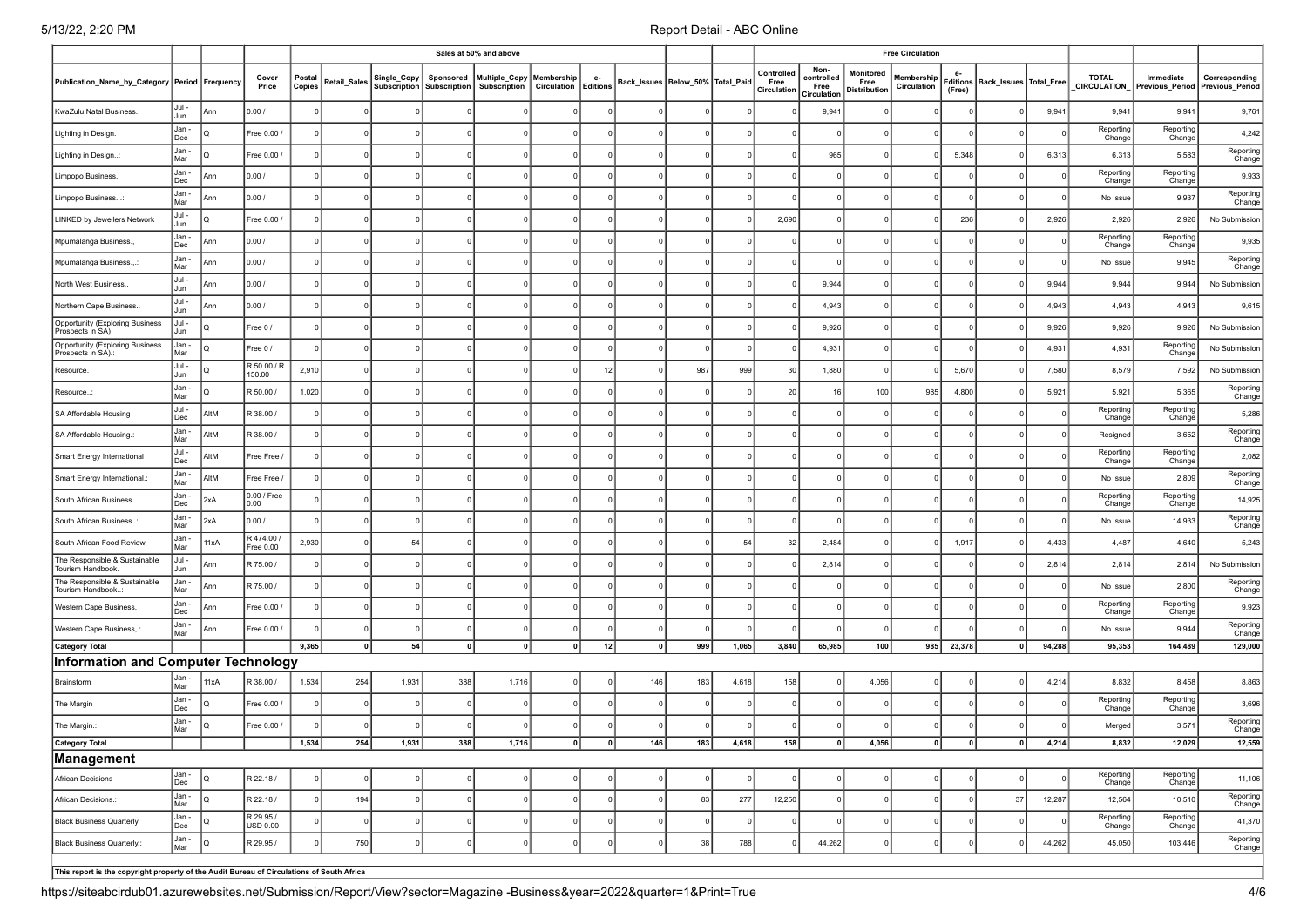| Non-<br>Controlled<br>Monitored<br><b>TOTAL</b><br>Immediate<br>Corresponding<br>Postal<br>Multiple_Copy<br>Membership<br>controlled<br>Membership<br>Cover<br>Single_Copy<br>Sponsored<br>e-<br>Publication_Name_by_Category Period Frequency<br>Retail_Sales<br>Back_Issues   Below_50%   Total_Paid<br>Free<br>Editions   Back_Issues   Total_Free<br>Free<br>Price<br>Copies<br>Subscription   Subscription  <br>Subscription<br>Circulation Editions<br>Circulation<br>CIRCULATION<br>Previous Period Previous Period<br>Free<br>Circulation<br>Distributior<br>(Free)<br>Circulation<br>Jul -<br>KwaZulu Natal Business<br>0.00/<br>9,941<br>9,941<br>9,941<br>9,941<br>9,761<br>Ann<br>$\Omega$<br>Jun<br>Jan -<br>Reporting<br>Reporting<br>4,242<br>Free 0.00 /<br>Lighting in Design.<br>$\Omega$<br>$\sqrt{ }$<br>Dec<br>Change<br>Change<br>Jan -<br>Reporting<br>965<br>5,348<br>6,313<br>6,313<br>5,583<br>Free 0.00 /<br>Lighting in Design<br>I۵<br>Mar<br>Change<br>Jan -<br>Reporting<br>Reporting<br>0.00/<br>9,933<br>Limpopo Business.<br>Ann<br>Change<br>Change<br>Dec<br>Jan -<br>Reporting<br>0.00/<br>No Issue<br>9,937<br>Limpopo Business.,.:<br>Ann<br>$\mathsf{C}$<br>Mar<br>Change<br>Jul -<br>2,690<br>236<br>2,926<br>Free 0.00 /<br>2,926<br>2,926<br>No Submission<br>LINKED by Jewellers Network<br>lQ<br>$\Omega$<br>Jun<br>Jan -<br>Reporting<br>Reporting<br>0.00/<br>9,935<br>$\Omega$<br>Mpumalanga Business.,<br>Ann<br>Change<br>Change<br>Dec<br>Jan -<br>Reporting<br>Ann<br>0.00/<br>No Issue<br>9,945<br>Mpumalanga Business.,.:<br>$\Omega$<br>Mar<br>Change<br>Jul -<br>0.00/<br>9,944<br>9,944<br>9,944<br>9,944<br>No Submission<br>North West Business.<br>Ann<br>Jun<br>Jul -<br>0.00/<br>4,943<br>4,943<br>4,943<br>4,943<br>9,615<br>Northern Cape Business.<br>Ann<br>Jun<br>Jul -<br>Opportunity (Exploring Business<br>9,926<br>9,926<br>9,926<br>lo<br>9,926<br>Free 0 /<br>$\Omega$<br>$\Omega$<br>No Submission<br>$\Omega$<br>$\Omega$<br>Jun<br>Prospects in SA)<br><b>Opportunity (Exploring Business</b><br>Reporting<br>Jan -<br>4,931<br>4,931<br>4,931<br>Free 0/<br>$\Omega$<br>No Submission<br>lQ<br>Prospects in SA).<br>Mar<br>Change<br>Jul -<br>R 50.00 / F<br>2,910<br>987<br>999<br>1,880<br>5,670<br>7,580<br>8,579<br>30<br>7,592<br>No Submission<br>Resource.<br>I٥<br>12<br>Jun<br>150.00<br>Jan -<br>Reporting<br>1,020<br>R 50.00 /<br>20<br>16<br>100<br>985<br>4,800<br>5,921<br>5,921<br>5,365<br>lQ<br>Resource<br>$\Omega$<br>Change<br>Mar<br>Jul -<br>Reporting<br>Reporting<br>AltM<br>R 38.00 /<br>5,286<br>SA Affordable Housing<br>Change<br>Dec<br>Change<br>Jan -<br>Reporting<br>AltM<br>SA Affordable Housing.<br>R 38.00 /<br>Resigned<br>3,652<br>Mar<br>Change<br>Jul -<br>Reporting<br>Reporting<br>AltM<br>Free Free /<br>2,082<br>Smart Energy International<br>Change<br>Change<br>Dec<br>Jan -<br>Reporting<br>AltM<br>2,809<br>Free Free /<br>No Issue<br>Smart Energy International.<br>Mar<br>Change<br>Jan -<br>0.00 / Free<br>Reporting<br>Reporting<br>14,925<br>South African Business.<br>2xA<br>$\Omega$<br>0.00<br>Dec<br>Change<br>Change<br>Reporting<br>Jan -<br>2xA<br>0.00/<br>No Issue<br>14,933<br>South African Business:<br>Mar<br>Change<br>R 474.00<br>Jan -<br>2,930<br>2,484<br>1,917<br>4,433<br>4,487<br>4,640<br>South African Food Review<br>11xA<br>54<br>54<br>32<br>5,243<br>Mar<br>Free 0.00<br>Jul -<br>The Responsible & Sustainable<br>R 75.00 /<br>2,814<br>2,814<br>2,814<br>2,814<br>No Submission<br>Ann<br>Tourism Handbook.<br>Jun<br>The Responsible & Sustainable<br>Jan-<br>Reporting<br>2,800<br>R 75.00 /<br>Ann<br>No Issue<br>Tourism Handbook.<br>Mar<br>Change<br>Reporting<br>Jan -<br>Reporting<br>9,923<br>Western Cape Business,<br>Free 0.00 /<br>Ann<br>Dec<br>Change<br>Change<br>Jan -<br>Reporting<br>9,944<br>Free 0.00 /<br>Western Cape Business,.:<br>Ann<br>No Issue<br>Mar<br>Change<br>54<br>9,365<br>12<br>999<br>1,065<br>3,840<br>65,985<br>100<br>985 23,378<br>94,288<br>95,353<br>164,489<br>129,000<br><b>Category Total</b><br> 0 <br> 0 <br>$\mathbf{0}$<br>0<br> 0 <br> 0 <br>Information and Computer Technology<br>Jan -<br>1,534<br>2 38.00 /<br>254<br>1,931<br>388<br>1,716<br>146<br>183<br>4,618<br>158<br>4,056<br>4,214<br>8,832<br>8,458<br>8,863<br>11xA<br>Brainstorm<br>Mar<br>Jan -<br>Reporting<br>Reporting<br>3,696<br>Free 0.00 /<br>The Margin<br>Change<br>Dec<br>Change<br>Jan-<br>Reporting<br>Free 0.00 /<br>3,571<br>The Margin.:<br>Merged<br>I۵<br>Mar<br>Change<br>12,029<br>12,559<br><b>Category Total</b><br>1,534  <br>254<br>1,931  <br>388  <br>1,716  <br>ᅁ<br>≝<br>146<br>183  <br>4,618  <br>158  <br>$^{\circ}$<br>4,056<br>$^{\circ}$<br>$^{\circ}$<br>$^{\circ}$<br>4,214<br>8,832<br><b>Management</b> |  |  |  |  | Sales at 50% and above |  |  |  |  | <b>Free Circulation</b> |  |  |  |
|--------------------------------------------------------------------------------------------------------------------------------------------------------------------------------------------------------------------------------------------------------------------------------------------------------------------------------------------------------------------------------------------------------------------------------------------------------------------------------------------------------------------------------------------------------------------------------------------------------------------------------------------------------------------------------------------------------------------------------------------------------------------------------------------------------------------------------------------------------------------------------------------------------------------------------------------------------------------------------------------------------------------------------------------------------------------------------------------------------------------------------------------------------------------------------------------------------------------------------------------------------------------------------------------------------------------------------------------------------------------------------------------------------------------------------------------------------------------------------------------------------------------------------------------------------------------------------------------------------------------------------------------------------------------------------------------------------------------------------------------------------------------------------------------------------------------------------------------------------------------------------------------------------------------------------------------------------------------------------------------------------------------------------------------------------------------------------------------------------------------------------------------------------------------------------------------------------------------------------------------------------------------------------------------------------------------------------------------------------------------------------------------------------------------------------------------------------------------------------------------------------------------------------------------------------------------------------------------------------------------------------------------------------------------------------------------------------------------------------------------------------------------------------------------------------------------------------------------------------------------------------------------------------------------------------------------------------------------------------------------------------------------------------------------------------------------------------------------------------------------------------------------------------------------------------------------------------------------------------------------------------------------------------------------------------------------------------------------------------------------------------------------------------------------------------------------------------------------------------------------------------------------------------------------------------------------------------------------------------------------------------------------------------------------------------------------------------------------------------------------------------------------------------------------------------------------------------------------------------------------------------------------------------------------------------------------------------------------------------------------------------------------------------------------------------------------------------------------------------------------------------------------------------------------------------------------------------------------------------------------------------------------------------------------------------------------------------------------------------------------------------------------------------------------------------------------------------------------------------------------------------------------------------------------------------------------------------------------------------------------------------------------------------------------------------------------------------------------------------------------------------------------------------------------------------------------------------------|--|--|--|--|------------------------|--|--|--|--|-------------------------|--|--|--|
|                                                                                                                                                                                                                                                                                                                                                                                                                                                                                                                                                                                                                                                                                                                                                                                                                                                                                                                                                                                                                                                                                                                                                                                                                                                                                                                                                                                                                                                                                                                                                                                                                                                                                                                                                                                                                                                                                                                                                                                                                                                                                                                                                                                                                                                                                                                                                                                                                                                                                                                                                                                                                                                                                                                                                                                                                                                                                                                                                                                                                                                                                                                                                                                                                                                                                                                                                                                                                                                                                                                                                                                                                                                                                                                                                                                                                                                                                                                                                                                                                                                                                                                                                                                                                                                                                                                                                                                                                                                                                                                                                                                                                                                                                                                                                                                                                                      |  |  |  |  |                        |  |  |  |  |                         |  |  |  |
|                                                                                                                                                                                                                                                                                                                                                                                                                                                                                                                                                                                                                                                                                                                                                                                                                                                                                                                                                                                                                                                                                                                                                                                                                                                                                                                                                                                                                                                                                                                                                                                                                                                                                                                                                                                                                                                                                                                                                                                                                                                                                                                                                                                                                                                                                                                                                                                                                                                                                                                                                                                                                                                                                                                                                                                                                                                                                                                                                                                                                                                                                                                                                                                                                                                                                                                                                                                                                                                                                                                                                                                                                                                                                                                                                                                                                                                                                                                                                                                                                                                                                                                                                                                                                                                                                                                                                                                                                                                                                                                                                                                                                                                                                                                                                                                                                                      |  |  |  |  |                        |  |  |  |  |                         |  |  |  |
|                                                                                                                                                                                                                                                                                                                                                                                                                                                                                                                                                                                                                                                                                                                                                                                                                                                                                                                                                                                                                                                                                                                                                                                                                                                                                                                                                                                                                                                                                                                                                                                                                                                                                                                                                                                                                                                                                                                                                                                                                                                                                                                                                                                                                                                                                                                                                                                                                                                                                                                                                                                                                                                                                                                                                                                                                                                                                                                                                                                                                                                                                                                                                                                                                                                                                                                                                                                                                                                                                                                                                                                                                                                                                                                                                                                                                                                                                                                                                                                                                                                                                                                                                                                                                                                                                                                                                                                                                                                                                                                                                                                                                                                                                                                                                                                                                                      |  |  |  |  |                        |  |  |  |  |                         |  |  |  |
|                                                                                                                                                                                                                                                                                                                                                                                                                                                                                                                                                                                                                                                                                                                                                                                                                                                                                                                                                                                                                                                                                                                                                                                                                                                                                                                                                                                                                                                                                                                                                                                                                                                                                                                                                                                                                                                                                                                                                                                                                                                                                                                                                                                                                                                                                                                                                                                                                                                                                                                                                                                                                                                                                                                                                                                                                                                                                                                                                                                                                                                                                                                                                                                                                                                                                                                                                                                                                                                                                                                                                                                                                                                                                                                                                                                                                                                                                                                                                                                                                                                                                                                                                                                                                                                                                                                                                                                                                                                                                                                                                                                                                                                                                                                                                                                                                                      |  |  |  |  |                        |  |  |  |  |                         |  |  |  |
|                                                                                                                                                                                                                                                                                                                                                                                                                                                                                                                                                                                                                                                                                                                                                                                                                                                                                                                                                                                                                                                                                                                                                                                                                                                                                                                                                                                                                                                                                                                                                                                                                                                                                                                                                                                                                                                                                                                                                                                                                                                                                                                                                                                                                                                                                                                                                                                                                                                                                                                                                                                                                                                                                                                                                                                                                                                                                                                                                                                                                                                                                                                                                                                                                                                                                                                                                                                                                                                                                                                                                                                                                                                                                                                                                                                                                                                                                                                                                                                                                                                                                                                                                                                                                                                                                                                                                                                                                                                                                                                                                                                                                                                                                                                                                                                                                                      |  |  |  |  |                        |  |  |  |  |                         |  |  |  |
|                                                                                                                                                                                                                                                                                                                                                                                                                                                                                                                                                                                                                                                                                                                                                                                                                                                                                                                                                                                                                                                                                                                                                                                                                                                                                                                                                                                                                                                                                                                                                                                                                                                                                                                                                                                                                                                                                                                                                                                                                                                                                                                                                                                                                                                                                                                                                                                                                                                                                                                                                                                                                                                                                                                                                                                                                                                                                                                                                                                                                                                                                                                                                                                                                                                                                                                                                                                                                                                                                                                                                                                                                                                                                                                                                                                                                                                                                                                                                                                                                                                                                                                                                                                                                                                                                                                                                                                                                                                                                                                                                                                                                                                                                                                                                                                                                                      |  |  |  |  |                        |  |  |  |  |                         |  |  |  |
|                                                                                                                                                                                                                                                                                                                                                                                                                                                                                                                                                                                                                                                                                                                                                                                                                                                                                                                                                                                                                                                                                                                                                                                                                                                                                                                                                                                                                                                                                                                                                                                                                                                                                                                                                                                                                                                                                                                                                                                                                                                                                                                                                                                                                                                                                                                                                                                                                                                                                                                                                                                                                                                                                                                                                                                                                                                                                                                                                                                                                                                                                                                                                                                                                                                                                                                                                                                                                                                                                                                                                                                                                                                                                                                                                                                                                                                                                                                                                                                                                                                                                                                                                                                                                                                                                                                                                                                                                                                                                                                                                                                                                                                                                                                                                                                                                                      |  |  |  |  |                        |  |  |  |  |                         |  |  |  |
|                                                                                                                                                                                                                                                                                                                                                                                                                                                                                                                                                                                                                                                                                                                                                                                                                                                                                                                                                                                                                                                                                                                                                                                                                                                                                                                                                                                                                                                                                                                                                                                                                                                                                                                                                                                                                                                                                                                                                                                                                                                                                                                                                                                                                                                                                                                                                                                                                                                                                                                                                                                                                                                                                                                                                                                                                                                                                                                                                                                                                                                                                                                                                                                                                                                                                                                                                                                                                                                                                                                                                                                                                                                                                                                                                                                                                                                                                                                                                                                                                                                                                                                                                                                                                                                                                                                                                                                                                                                                                                                                                                                                                                                                                                                                                                                                                                      |  |  |  |  |                        |  |  |  |  |                         |  |  |  |
|                                                                                                                                                                                                                                                                                                                                                                                                                                                                                                                                                                                                                                                                                                                                                                                                                                                                                                                                                                                                                                                                                                                                                                                                                                                                                                                                                                                                                                                                                                                                                                                                                                                                                                                                                                                                                                                                                                                                                                                                                                                                                                                                                                                                                                                                                                                                                                                                                                                                                                                                                                                                                                                                                                                                                                                                                                                                                                                                                                                                                                                                                                                                                                                                                                                                                                                                                                                                                                                                                                                                                                                                                                                                                                                                                                                                                                                                                                                                                                                                                                                                                                                                                                                                                                                                                                                                                                                                                                                                                                                                                                                                                                                                                                                                                                                                                                      |  |  |  |  |                        |  |  |  |  |                         |  |  |  |
|                                                                                                                                                                                                                                                                                                                                                                                                                                                                                                                                                                                                                                                                                                                                                                                                                                                                                                                                                                                                                                                                                                                                                                                                                                                                                                                                                                                                                                                                                                                                                                                                                                                                                                                                                                                                                                                                                                                                                                                                                                                                                                                                                                                                                                                                                                                                                                                                                                                                                                                                                                                                                                                                                                                                                                                                                                                                                                                                                                                                                                                                                                                                                                                                                                                                                                                                                                                                                                                                                                                                                                                                                                                                                                                                                                                                                                                                                                                                                                                                                                                                                                                                                                                                                                                                                                                                                                                                                                                                                                                                                                                                                                                                                                                                                                                                                                      |  |  |  |  |                        |  |  |  |  |                         |  |  |  |
|                                                                                                                                                                                                                                                                                                                                                                                                                                                                                                                                                                                                                                                                                                                                                                                                                                                                                                                                                                                                                                                                                                                                                                                                                                                                                                                                                                                                                                                                                                                                                                                                                                                                                                                                                                                                                                                                                                                                                                                                                                                                                                                                                                                                                                                                                                                                                                                                                                                                                                                                                                                                                                                                                                                                                                                                                                                                                                                                                                                                                                                                                                                                                                                                                                                                                                                                                                                                                                                                                                                                                                                                                                                                                                                                                                                                                                                                                                                                                                                                                                                                                                                                                                                                                                                                                                                                                                                                                                                                                                                                                                                                                                                                                                                                                                                                                                      |  |  |  |  |                        |  |  |  |  |                         |  |  |  |
|                                                                                                                                                                                                                                                                                                                                                                                                                                                                                                                                                                                                                                                                                                                                                                                                                                                                                                                                                                                                                                                                                                                                                                                                                                                                                                                                                                                                                                                                                                                                                                                                                                                                                                                                                                                                                                                                                                                                                                                                                                                                                                                                                                                                                                                                                                                                                                                                                                                                                                                                                                                                                                                                                                                                                                                                                                                                                                                                                                                                                                                                                                                                                                                                                                                                                                                                                                                                                                                                                                                                                                                                                                                                                                                                                                                                                                                                                                                                                                                                                                                                                                                                                                                                                                                                                                                                                                                                                                                                                                                                                                                                                                                                                                                                                                                                                                      |  |  |  |  |                        |  |  |  |  |                         |  |  |  |
|                                                                                                                                                                                                                                                                                                                                                                                                                                                                                                                                                                                                                                                                                                                                                                                                                                                                                                                                                                                                                                                                                                                                                                                                                                                                                                                                                                                                                                                                                                                                                                                                                                                                                                                                                                                                                                                                                                                                                                                                                                                                                                                                                                                                                                                                                                                                                                                                                                                                                                                                                                                                                                                                                                                                                                                                                                                                                                                                                                                                                                                                                                                                                                                                                                                                                                                                                                                                                                                                                                                                                                                                                                                                                                                                                                                                                                                                                                                                                                                                                                                                                                                                                                                                                                                                                                                                                                                                                                                                                                                                                                                                                                                                                                                                                                                                                                      |  |  |  |  |                        |  |  |  |  |                         |  |  |  |
|                                                                                                                                                                                                                                                                                                                                                                                                                                                                                                                                                                                                                                                                                                                                                                                                                                                                                                                                                                                                                                                                                                                                                                                                                                                                                                                                                                                                                                                                                                                                                                                                                                                                                                                                                                                                                                                                                                                                                                                                                                                                                                                                                                                                                                                                                                                                                                                                                                                                                                                                                                                                                                                                                                                                                                                                                                                                                                                                                                                                                                                                                                                                                                                                                                                                                                                                                                                                                                                                                                                                                                                                                                                                                                                                                                                                                                                                                                                                                                                                                                                                                                                                                                                                                                                                                                                                                                                                                                                                                                                                                                                                                                                                                                                                                                                                                                      |  |  |  |  |                        |  |  |  |  |                         |  |  |  |
|                                                                                                                                                                                                                                                                                                                                                                                                                                                                                                                                                                                                                                                                                                                                                                                                                                                                                                                                                                                                                                                                                                                                                                                                                                                                                                                                                                                                                                                                                                                                                                                                                                                                                                                                                                                                                                                                                                                                                                                                                                                                                                                                                                                                                                                                                                                                                                                                                                                                                                                                                                                                                                                                                                                                                                                                                                                                                                                                                                                                                                                                                                                                                                                                                                                                                                                                                                                                                                                                                                                                                                                                                                                                                                                                                                                                                                                                                                                                                                                                                                                                                                                                                                                                                                                                                                                                                                                                                                                                                                                                                                                                                                                                                                                                                                                                                                      |  |  |  |  |                        |  |  |  |  |                         |  |  |  |
|                                                                                                                                                                                                                                                                                                                                                                                                                                                                                                                                                                                                                                                                                                                                                                                                                                                                                                                                                                                                                                                                                                                                                                                                                                                                                                                                                                                                                                                                                                                                                                                                                                                                                                                                                                                                                                                                                                                                                                                                                                                                                                                                                                                                                                                                                                                                                                                                                                                                                                                                                                                                                                                                                                                                                                                                                                                                                                                                                                                                                                                                                                                                                                                                                                                                                                                                                                                                                                                                                                                                                                                                                                                                                                                                                                                                                                                                                                                                                                                                                                                                                                                                                                                                                                                                                                                                                                                                                                                                                                                                                                                                                                                                                                                                                                                                                                      |  |  |  |  |                        |  |  |  |  |                         |  |  |  |
|                                                                                                                                                                                                                                                                                                                                                                                                                                                                                                                                                                                                                                                                                                                                                                                                                                                                                                                                                                                                                                                                                                                                                                                                                                                                                                                                                                                                                                                                                                                                                                                                                                                                                                                                                                                                                                                                                                                                                                                                                                                                                                                                                                                                                                                                                                                                                                                                                                                                                                                                                                                                                                                                                                                                                                                                                                                                                                                                                                                                                                                                                                                                                                                                                                                                                                                                                                                                                                                                                                                                                                                                                                                                                                                                                                                                                                                                                                                                                                                                                                                                                                                                                                                                                                                                                                                                                                                                                                                                                                                                                                                                                                                                                                                                                                                                                                      |  |  |  |  |                        |  |  |  |  |                         |  |  |  |
|                                                                                                                                                                                                                                                                                                                                                                                                                                                                                                                                                                                                                                                                                                                                                                                                                                                                                                                                                                                                                                                                                                                                                                                                                                                                                                                                                                                                                                                                                                                                                                                                                                                                                                                                                                                                                                                                                                                                                                                                                                                                                                                                                                                                                                                                                                                                                                                                                                                                                                                                                                                                                                                                                                                                                                                                                                                                                                                                                                                                                                                                                                                                                                                                                                                                                                                                                                                                                                                                                                                                                                                                                                                                                                                                                                                                                                                                                                                                                                                                                                                                                                                                                                                                                                                                                                                                                                                                                                                                                                                                                                                                                                                                                                                                                                                                                                      |  |  |  |  |                        |  |  |  |  |                         |  |  |  |
|                                                                                                                                                                                                                                                                                                                                                                                                                                                                                                                                                                                                                                                                                                                                                                                                                                                                                                                                                                                                                                                                                                                                                                                                                                                                                                                                                                                                                                                                                                                                                                                                                                                                                                                                                                                                                                                                                                                                                                                                                                                                                                                                                                                                                                                                                                                                                                                                                                                                                                                                                                                                                                                                                                                                                                                                                                                                                                                                                                                                                                                                                                                                                                                                                                                                                                                                                                                                                                                                                                                                                                                                                                                                                                                                                                                                                                                                                                                                                                                                                                                                                                                                                                                                                                                                                                                                                                                                                                                                                                                                                                                                                                                                                                                                                                                                                                      |  |  |  |  |                        |  |  |  |  |                         |  |  |  |
|                                                                                                                                                                                                                                                                                                                                                                                                                                                                                                                                                                                                                                                                                                                                                                                                                                                                                                                                                                                                                                                                                                                                                                                                                                                                                                                                                                                                                                                                                                                                                                                                                                                                                                                                                                                                                                                                                                                                                                                                                                                                                                                                                                                                                                                                                                                                                                                                                                                                                                                                                                                                                                                                                                                                                                                                                                                                                                                                                                                                                                                                                                                                                                                                                                                                                                                                                                                                                                                                                                                                                                                                                                                                                                                                                                                                                                                                                                                                                                                                                                                                                                                                                                                                                                                                                                                                                                                                                                                                                                                                                                                                                                                                                                                                                                                                                                      |  |  |  |  |                        |  |  |  |  |                         |  |  |  |
|                                                                                                                                                                                                                                                                                                                                                                                                                                                                                                                                                                                                                                                                                                                                                                                                                                                                                                                                                                                                                                                                                                                                                                                                                                                                                                                                                                                                                                                                                                                                                                                                                                                                                                                                                                                                                                                                                                                                                                                                                                                                                                                                                                                                                                                                                                                                                                                                                                                                                                                                                                                                                                                                                                                                                                                                                                                                                                                                                                                                                                                                                                                                                                                                                                                                                                                                                                                                                                                                                                                                                                                                                                                                                                                                                                                                                                                                                                                                                                                                                                                                                                                                                                                                                                                                                                                                                                                                                                                                                                                                                                                                                                                                                                                                                                                                                                      |  |  |  |  |                        |  |  |  |  |                         |  |  |  |
|                                                                                                                                                                                                                                                                                                                                                                                                                                                                                                                                                                                                                                                                                                                                                                                                                                                                                                                                                                                                                                                                                                                                                                                                                                                                                                                                                                                                                                                                                                                                                                                                                                                                                                                                                                                                                                                                                                                                                                                                                                                                                                                                                                                                                                                                                                                                                                                                                                                                                                                                                                                                                                                                                                                                                                                                                                                                                                                                                                                                                                                                                                                                                                                                                                                                                                                                                                                                                                                                                                                                                                                                                                                                                                                                                                                                                                                                                                                                                                                                                                                                                                                                                                                                                                                                                                                                                                                                                                                                                                                                                                                                                                                                                                                                                                                                                                      |  |  |  |  |                        |  |  |  |  |                         |  |  |  |
|                                                                                                                                                                                                                                                                                                                                                                                                                                                                                                                                                                                                                                                                                                                                                                                                                                                                                                                                                                                                                                                                                                                                                                                                                                                                                                                                                                                                                                                                                                                                                                                                                                                                                                                                                                                                                                                                                                                                                                                                                                                                                                                                                                                                                                                                                                                                                                                                                                                                                                                                                                                                                                                                                                                                                                                                                                                                                                                                                                                                                                                                                                                                                                                                                                                                                                                                                                                                                                                                                                                                                                                                                                                                                                                                                                                                                                                                                                                                                                                                                                                                                                                                                                                                                                                                                                                                                                                                                                                                                                                                                                                                                                                                                                                                                                                                                                      |  |  |  |  |                        |  |  |  |  |                         |  |  |  |
|                                                                                                                                                                                                                                                                                                                                                                                                                                                                                                                                                                                                                                                                                                                                                                                                                                                                                                                                                                                                                                                                                                                                                                                                                                                                                                                                                                                                                                                                                                                                                                                                                                                                                                                                                                                                                                                                                                                                                                                                                                                                                                                                                                                                                                                                                                                                                                                                                                                                                                                                                                                                                                                                                                                                                                                                                                                                                                                                                                                                                                                                                                                                                                                                                                                                                                                                                                                                                                                                                                                                                                                                                                                                                                                                                                                                                                                                                                                                                                                                                                                                                                                                                                                                                                                                                                                                                                                                                                                                                                                                                                                                                                                                                                                                                                                                                                      |  |  |  |  |                        |  |  |  |  |                         |  |  |  |
|                                                                                                                                                                                                                                                                                                                                                                                                                                                                                                                                                                                                                                                                                                                                                                                                                                                                                                                                                                                                                                                                                                                                                                                                                                                                                                                                                                                                                                                                                                                                                                                                                                                                                                                                                                                                                                                                                                                                                                                                                                                                                                                                                                                                                                                                                                                                                                                                                                                                                                                                                                                                                                                                                                                                                                                                                                                                                                                                                                                                                                                                                                                                                                                                                                                                                                                                                                                                                                                                                                                                                                                                                                                                                                                                                                                                                                                                                                                                                                                                                                                                                                                                                                                                                                                                                                                                                                                                                                                                                                                                                                                                                                                                                                                                                                                                                                      |  |  |  |  |                        |  |  |  |  |                         |  |  |  |
|                                                                                                                                                                                                                                                                                                                                                                                                                                                                                                                                                                                                                                                                                                                                                                                                                                                                                                                                                                                                                                                                                                                                                                                                                                                                                                                                                                                                                                                                                                                                                                                                                                                                                                                                                                                                                                                                                                                                                                                                                                                                                                                                                                                                                                                                                                                                                                                                                                                                                                                                                                                                                                                                                                                                                                                                                                                                                                                                                                                                                                                                                                                                                                                                                                                                                                                                                                                                                                                                                                                                                                                                                                                                                                                                                                                                                                                                                                                                                                                                                                                                                                                                                                                                                                                                                                                                                                                                                                                                                                                                                                                                                                                                                                                                                                                                                                      |  |  |  |  |                        |  |  |  |  |                         |  |  |  |
|                                                                                                                                                                                                                                                                                                                                                                                                                                                                                                                                                                                                                                                                                                                                                                                                                                                                                                                                                                                                                                                                                                                                                                                                                                                                                                                                                                                                                                                                                                                                                                                                                                                                                                                                                                                                                                                                                                                                                                                                                                                                                                                                                                                                                                                                                                                                                                                                                                                                                                                                                                                                                                                                                                                                                                                                                                                                                                                                                                                                                                                                                                                                                                                                                                                                                                                                                                                                                                                                                                                                                                                                                                                                                                                                                                                                                                                                                                                                                                                                                                                                                                                                                                                                                                                                                                                                                                                                                                                                                                                                                                                                                                                                                                                                                                                                                                      |  |  |  |  |                        |  |  |  |  |                         |  |  |  |
|                                                                                                                                                                                                                                                                                                                                                                                                                                                                                                                                                                                                                                                                                                                                                                                                                                                                                                                                                                                                                                                                                                                                                                                                                                                                                                                                                                                                                                                                                                                                                                                                                                                                                                                                                                                                                                                                                                                                                                                                                                                                                                                                                                                                                                                                                                                                                                                                                                                                                                                                                                                                                                                                                                                                                                                                                                                                                                                                                                                                                                                                                                                                                                                                                                                                                                                                                                                                                                                                                                                                                                                                                                                                                                                                                                                                                                                                                                                                                                                                                                                                                                                                                                                                                                                                                                                                                                                                                                                                                                                                                                                                                                                                                                                                                                                                                                      |  |  |  |  |                        |  |  |  |  |                         |  |  |  |
|                                                                                                                                                                                                                                                                                                                                                                                                                                                                                                                                                                                                                                                                                                                                                                                                                                                                                                                                                                                                                                                                                                                                                                                                                                                                                                                                                                                                                                                                                                                                                                                                                                                                                                                                                                                                                                                                                                                                                                                                                                                                                                                                                                                                                                                                                                                                                                                                                                                                                                                                                                                                                                                                                                                                                                                                                                                                                                                                                                                                                                                                                                                                                                                                                                                                                                                                                                                                                                                                                                                                                                                                                                                                                                                                                                                                                                                                                                                                                                                                                                                                                                                                                                                                                                                                                                                                                                                                                                                                                                                                                                                                                                                                                                                                                                                                                                      |  |  |  |  |                        |  |  |  |  |                         |  |  |  |
|                                                                                                                                                                                                                                                                                                                                                                                                                                                                                                                                                                                                                                                                                                                                                                                                                                                                                                                                                                                                                                                                                                                                                                                                                                                                                                                                                                                                                                                                                                                                                                                                                                                                                                                                                                                                                                                                                                                                                                                                                                                                                                                                                                                                                                                                                                                                                                                                                                                                                                                                                                                                                                                                                                                                                                                                                                                                                                                                                                                                                                                                                                                                                                                                                                                                                                                                                                                                                                                                                                                                                                                                                                                                                                                                                                                                                                                                                                                                                                                                                                                                                                                                                                                                                                                                                                                                                                                                                                                                                                                                                                                                                                                                                                                                                                                                                                      |  |  |  |  |                        |  |  |  |  |                         |  |  |  |
|                                                                                                                                                                                                                                                                                                                                                                                                                                                                                                                                                                                                                                                                                                                                                                                                                                                                                                                                                                                                                                                                                                                                                                                                                                                                                                                                                                                                                                                                                                                                                                                                                                                                                                                                                                                                                                                                                                                                                                                                                                                                                                                                                                                                                                                                                                                                                                                                                                                                                                                                                                                                                                                                                                                                                                                                                                                                                                                                                                                                                                                                                                                                                                                                                                                                                                                                                                                                                                                                                                                                                                                                                                                                                                                                                                                                                                                                                                                                                                                                                                                                                                                                                                                                                                                                                                                                                                                                                                                                                                                                                                                                                                                                                                                                                                                                                                      |  |  |  |  |                        |  |  |  |  |                         |  |  |  |
|                                                                                                                                                                                                                                                                                                                                                                                                                                                                                                                                                                                                                                                                                                                                                                                                                                                                                                                                                                                                                                                                                                                                                                                                                                                                                                                                                                                                                                                                                                                                                                                                                                                                                                                                                                                                                                                                                                                                                                                                                                                                                                                                                                                                                                                                                                                                                                                                                                                                                                                                                                                                                                                                                                                                                                                                                                                                                                                                                                                                                                                                                                                                                                                                                                                                                                                                                                                                                                                                                                                                                                                                                                                                                                                                                                                                                                                                                                                                                                                                                                                                                                                                                                                                                                                                                                                                                                                                                                                                                                                                                                                                                                                                                                                                                                                                                                      |  |  |  |  |                        |  |  |  |  |                         |  |  |  |
|                                                                                                                                                                                                                                                                                                                                                                                                                                                                                                                                                                                                                                                                                                                                                                                                                                                                                                                                                                                                                                                                                                                                                                                                                                                                                                                                                                                                                                                                                                                                                                                                                                                                                                                                                                                                                                                                                                                                                                                                                                                                                                                                                                                                                                                                                                                                                                                                                                                                                                                                                                                                                                                                                                                                                                                                                                                                                                                                                                                                                                                                                                                                                                                                                                                                                                                                                                                                                                                                                                                                                                                                                                                                                                                                                                                                                                                                                                                                                                                                                                                                                                                                                                                                                                                                                                                                                                                                                                                                                                                                                                                                                                                                                                                                                                                                                                      |  |  |  |  |                        |  |  |  |  |                         |  |  |  |
| Jan -<br>Reporting<br>Reporting<br>African Decisions<br>R 22.18 /<br>11,106<br>IQ<br> 0 <br> 0 <br>$\mathbf 0$<br>$\mathbf 0$<br>$^{\circ}$<br>0<br>$\mathbf 0$<br>$\Omega$<br>$\Omega$<br>$\Omega$<br>$\Omega$<br>Dec<br>Change<br>Change                                                                                                                                                                                                                                                                                                                                                                                                                                                                                                                                                                                                                                                                                                                                                                                                                                                                                                                                                                                                                                                                                                                                                                                                                                                                                                                                                                                                                                                                                                                                                                                                                                                                                                                                                                                                                                                                                                                                                                                                                                                                                                                                                                                                                                                                                                                                                                                                                                                                                                                                                                                                                                                                                                                                                                                                                                                                                                                                                                                                                                                                                                                                                                                                                                                                                                                                                                                                                                                                                                                                                                                                                                                                                                                                                                                                                                                                                                                                                                                                                                                                                                                                                                                                                                                                                                                                                                                                                                                                                                                                                                                           |  |  |  |  |                        |  |  |  |  |                         |  |  |  |
| Jan -<br>Reporting<br>Change<br>R 22.18 /<br>194<br>83<br>277<br>12,250<br>37<br>12,287<br>12,564<br>10,510<br>African Decisions.:<br>$\mathbf 0$<br>IQ<br>$\mathbf 0$<br>$\mathbf 0$<br>$\mathbf 0$<br>$\Omega$<br>$^{\circ}$<br>Mar                                                                                                                                                                                                                                                                                                                                                                                                                                                                                                                                                                                                                                                                                                                                                                                                                                                                                                                                                                                                                                                                                                                                                                                                                                                                                                                                                                                                                                                                                                                                                                                                                                                                                                                                                                                                                                                                                                                                                                                                                                                                                                                                                                                                                                                                                                                                                                                                                                                                                                                                                                                                                                                                                                                                                                                                                                                                                                                                                                                                                                                                                                                                                                                                                                                                                                                                                                                                                                                                                                                                                                                                                                                                                                                                                                                                                                                                                                                                                                                                                                                                                                                                                                                                                                                                                                                                                                                                                                                                                                                                                                                                |  |  |  |  |                        |  |  |  |  |                         |  |  |  |
| Jan -<br>R 29.95 /<br>Reporting<br>Reporting<br>41,370<br><b>Black Business Quarterly</b><br>lo<br>$\Omega$<br>$\Omega$<br>$\Omega$<br>$\mathbf 0$<br>$\mathbf 0$<br>$\Omega$<br>$\Omega$<br>$\Omega$<br>Dec<br>USD 0.00<br>Change<br>Change                                                                                                                                                                                                                                                                                                                                                                                                                                                                                                                                                                                                                                                                                                                                                                                                                                                                                                                                                                                                                                                                                                                                                                                                                                                                                                                                                                                                                                                                                                                                                                                                                                                                                                                                                                                                                                                                                                                                                                                                                                                                                                                                                                                                                                                                                                                                                                                                                                                                                                                                                                                                                                                                                                                                                                                                                                                                                                                                                                                                                                                                                                                                                                                                                                                                                                                                                                                                                                                                                                                                                                                                                                                                                                                                                                                                                                                                                                                                                                                                                                                                                                                                                                                                                                                                                                                                                                                                                                                                                                                                                                                         |  |  |  |  |                        |  |  |  |  |                         |  |  |  |
| Jan -<br>Reporting<br>Change<br>44,262<br>lQ.<br>R 29.95 /<br>750<br>38<br>788<br> 0 <br>$\mathbf 0$<br>44,262<br>45,050<br>103,446<br>Black Business Quarterly.:<br>$\Omega$<br> 0 <br>$\Omega$<br>$\Omega$<br>$\Omega$<br>$\Omega$<br>Mar                                                                                                                                                                                                                                                                                                                                                                                                                                                                                                                                                                                                                                                                                                                                                                                                                                                                                                                                                                                                                                                                                                                                                                                                                                                                                                                                                                                                                                                                                                                                                                                                                                                                                                                                                                                                                                                                                                                                                                                                                                                                                                                                                                                                                                                                                                                                                                                                                                                                                                                                                                                                                                                                                                                                                                                                                                                                                                                                                                                                                                                                                                                                                                                                                                                                                                                                                                                                                                                                                                                                                                                                                                                                                                                                                                                                                                                                                                                                                                                                                                                                                                                                                                                                                                                                                                                                                                                                                                                                                                                                                                                          |  |  |  |  |                        |  |  |  |  |                         |  |  |  |

**This report is the copyright property of the Audit Bureau of Circulations of South Africa**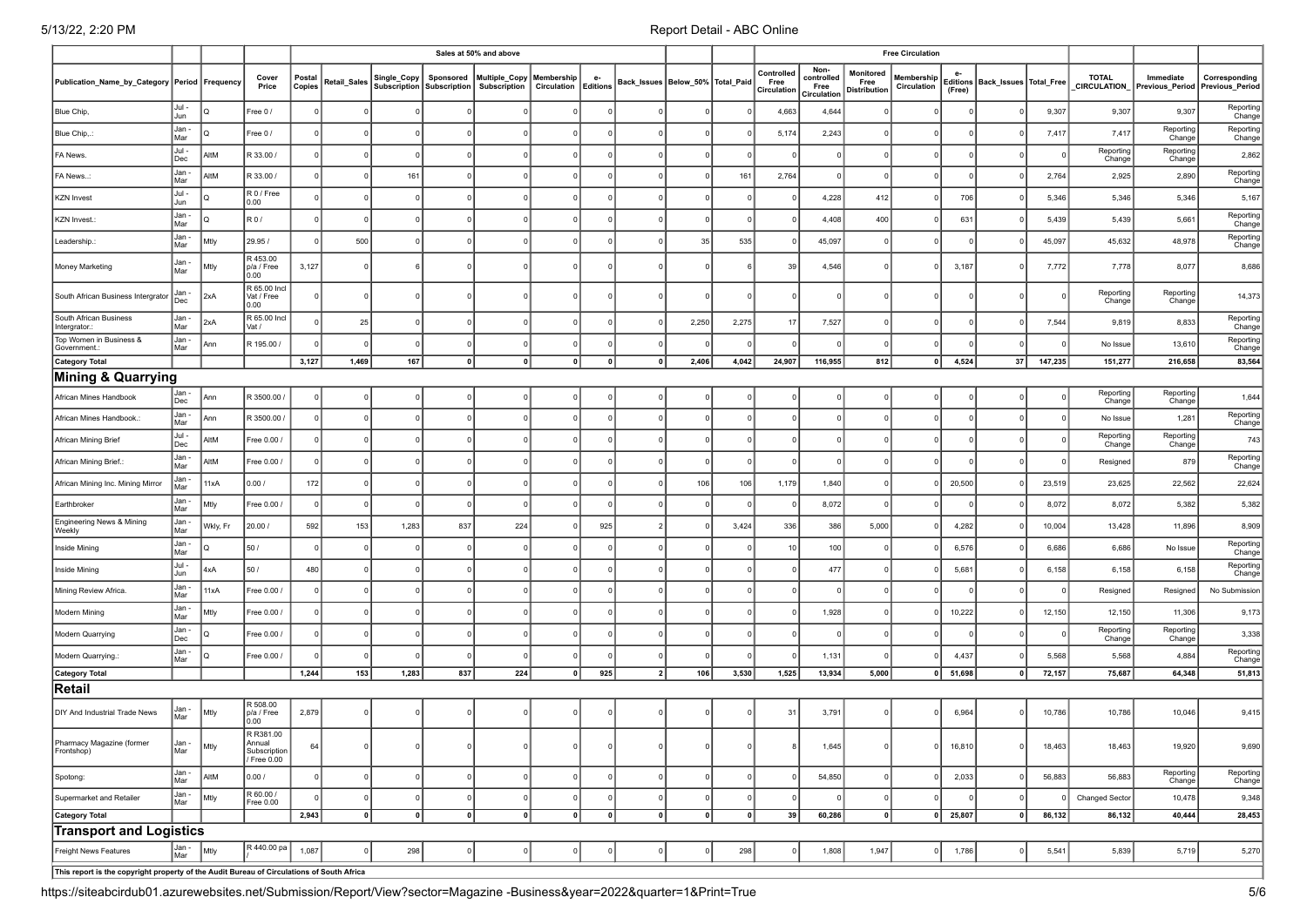|                                                                                                                                           |                |          |                                                    |                  |                     |             |                                        | Sales at 50% and above               |                           |                       |                                      |          |          |                                   |                                           |                                          | <b>Free Circulation</b>   |            |                                     |         |                        |                                              |                     |
|-------------------------------------------------------------------------------------------------------------------------------------------|----------------|----------|----------------------------------------------------|------------------|---------------------|-------------|----------------------------------------|--------------------------------------|---------------------------|-----------------------|--------------------------------------|----------|----------|-----------------------------------|-------------------------------------------|------------------------------------------|---------------------------|------------|-------------------------------------|---------|------------------------|----------------------------------------------|---------------------|
| Publication_Name_by_Category Period Frequency                                                                                             |                |          | Cover<br>Price                                     | Postal<br>Copies | <b>Retail_Sales</b> | Single_Copy | Sponsored<br>Subscription Subscription | Multiple_Copy<br><b>Subscription</b> | Membership<br>Circulation | e-<br><b>Editions</b> | Back_Issues   Below_50%   Total_Paid |          |          | Controlled<br>Free<br>Circulation | Non-<br>controlled<br>Free<br>Circulation | Monitored<br>Free<br><b>Distribution</b> | Membership<br>Circulation | (Free)     | Editions   Back_Issues   Total_Free |         | TOTAL<br>_CIRCULATION_ | Immediate<br>Previous Period Previous Period | Corresponding       |
| Blue Chip,                                                                                                                                | Jul -<br>Jun   | IQ       | Free 0/                                            |                  |                     |             |                                        |                                      |                           |                       |                                      |          |          | 4,663                             | 4,644                                     |                                          |                           |            |                                     | 9,307   | 9,307                  | 9,307                                        | Reporting<br>Change |
| Blue Chip,.:                                                                                                                              | Jan -<br>Mar   | l٥       | Free 0/                                            |                  |                     | $\Omega$    |                                        |                                      |                           |                       |                                      |          |          | 5,174                             | 2,243                                     |                                          |                           |            |                                     | 7,417   | 7,417                  | Reporting<br>Change                          | Reporting<br>Change |
| FA News.                                                                                                                                  | Jul-<br>Dec    | AltM     | R 33.00 /                                          | $\Omega$         |                     | $\Omega$    |                                        |                                      |                           |                       |                                      |          |          |                                   | $^{\circ}$                                |                                          | $\Omega$                  |            |                                     |         | Reporting<br>Change    | Reporting<br>Change                          | 2,862               |
| FA News:                                                                                                                                  | Jan -<br>Mar   | AltM     | R 33.00 /                                          | $\Omega$         |                     | 161         |                                        |                                      |                           |                       |                                      |          | 161      | 2,764                             | $\Omega$                                  |                                          | $\Omega$                  |            |                                     | 2,764   | 2,925                  | 2,890                                        | Reporting<br>Change |
| <b>KZN Invest</b>                                                                                                                         | Jul -<br>Jun   | IQ       | R 0 / Free<br>0.00                                 |                  |                     |             |                                        |                                      |                           |                       |                                      |          |          |                                   | 4,228                                     | 412                                      | $\mathbf 0$               | 706        |                                     | 5,346   | 5,346                  | 5,346                                        | 5,167               |
| KZN Invest.                                                                                                                               | Jan -<br>Mar   | IQ       | R0/                                                | $\Omega$         |                     | $\mathbf 0$ |                                        |                                      |                           |                       |                                      |          |          |                                   | 4,408                                     | 400                                      | $\overline{0}$            | 631        |                                     | 5,439   | 5,439                  | 5,661                                        | Reporting<br>Change |
| Leadership.:                                                                                                                              | Jan -<br>Mar   | Mtly     | 29.95 /                                            |                  | 500                 | $\Omega$    |                                        |                                      |                           |                       |                                      | 35       | 535      |                                   | 45,097                                    |                                          | $\Omega$                  |            |                                     | 45,097  | 45,632                 | 48,978                                       | Reporting<br>Change |
| Money Marketing                                                                                                                           | Jan -<br>Mar   | Mtly     | R453.00<br>p/a / Free<br>0.00                      | 3,127            |                     |             |                                        |                                      |                           |                       |                                      |          |          | 39                                | 4,546                                     |                                          | $\overline{0}$            | 3,187      |                                     | 7,772   | 7,778                  | 8,077                                        | 8,686               |
| South African Business Intergrator                                                                                                        | Jan -<br>Dec   | 2xA      | R 65.00 Incl<br>Vat / Free<br>0.00                 |                  |                     |             |                                        |                                      |                           |                       | $\Omega$                             |          |          |                                   | $\Omega$                                  |                                          | $\overline{0}$            |            |                                     |         | Reporting<br>Change    | Reporting<br>Change                          | 14,373              |
| South African Business<br>Intergrator.:                                                                                                   | Jan -<br>Mar   | 2xA      | R 65.00 Incl<br>Vat /                              |                  | 25                  | $\Omega$    |                                        |                                      |                           |                       |                                      | 2,250    | 2,275    | 17                                | 7,527                                     |                                          | $\overline{0}$            |            |                                     | 7,544   | 9,819                  | 8,833                                        | Reporting<br>Change |
| Top Women in Business &<br>Government.:                                                                                                   | Jan -<br>Mar   | Ann      | R 195.00 /                                         |                  |                     | $\Omega$    |                                        |                                      |                           |                       |                                      |          |          |                                   |                                           |                                          | $\Omega$                  |            |                                     |         | No Issue               | 13,610                                       | Reporting<br>Change |
| <b>Category Total</b>                                                                                                                     |                |          |                                                    | 3,127            | 1,469               | 167         |                                        | $\mathbf{0}$                         |                           | $\mathbf{0}$          | 0                                    | 2,406    | 4,042    | 24,907                            | 116,955                                   | 812                                      | 0                         | 4,524      | 37                                  | 147,235 | 151,277                | 216,658                                      | 83,564              |
| Mining & Quarrying                                                                                                                        |                |          |                                                    |                  |                     |             |                                        |                                      |                           |                       |                                      |          |          |                                   |                                           |                                          |                           |            |                                     |         |                        |                                              |                     |
| African Mines Handbook                                                                                                                    | Jan -<br>Dec   | Ann      | R 3500.00 /                                        |                  |                     |             |                                        |                                      |                           |                       |                                      |          |          |                                   |                                           |                                          |                           |            |                                     |         | Reporting<br>Change    | Reporting<br>Change                          | 1,644               |
| African Mines Handbook.:                                                                                                                  | Jan -<br>Mar   | Ann      | R 3500.00 /                                        | $\Omega$         |                     | $\Omega$    |                                        |                                      |                           |                       |                                      |          |          |                                   |                                           |                                          | $\Omega$                  |            |                                     |         | No Issue               | 1,281                                        | Reporting<br>Change |
| African Mining Brief                                                                                                                      | Jul -<br>Dec   | AltM     | Free 0.00 /                                        |                  |                     |             |                                        |                                      |                           |                       |                                      |          |          |                                   |                                           |                                          | $\Omega$                  |            |                                     |         | Reporting<br>Change    | Reporting<br>Change                          | 743                 |
| African Mining Brief.                                                                                                                     | Jan -<br>Mar   | AltM     | Free 0.00 /                                        | $\Omega$         |                     |             |                                        |                                      |                           |                       |                                      |          |          |                                   | $\Omega$                                  |                                          | $\Omega$                  |            |                                     |         | Resigned               | 879                                          | Reporting<br>Change |
| African Mining Inc. Mining Mirror                                                                                                         | Jan -<br>Mar   | 11xA     | 0.00/                                              | 172              |                     | $\Omega$    |                                        |                                      |                           |                       |                                      | 106      | 106      | 1,179                             | 1,840                                     |                                          | $\Omega$                  | 20,500     |                                     | 23,519  | 23,625                 | 22,562                                       | 22,624              |
| Earthbroker                                                                                                                               | Jan -<br>Mar   | Mtly     | Free 0.00 /                                        | $\Omega$         |                     | $\Omega$    |                                        |                                      |                           | $\Omega$              |                                      |          |          |                                   | 8,072                                     |                                          | $\mathbf 0$               |            |                                     | 8,072   | 8,072                  | 5,382                                        | 5,382               |
| Engineering News & Mining<br>Weekly                                                                                                       | Jan -<br>Mar   | Wkly, Fr | 20.00 /                                            | 592              | 153                 | 1,283       | 837                                    | 224                                  |                           | 925                   |                                      |          | 3,424    | 336                               | 386                                       | 5,000                                    | $\overline{0}$            | 4,282      |                                     | 10,004  | 13,428                 | 11,896                                       | 8,909               |
| Inside Mining                                                                                                                             | Jan -<br>Mar   | I٥       | 50/                                                | $\Omega$         |                     | $\Omega$    |                                        |                                      |                           |                       |                                      |          |          | 10                                | 100                                       |                                          | $\Omega$                  | 6,576      |                                     | 6,686   | 6,686                  | No Issue                                     | Reporting<br>Change |
| Inside Mining                                                                                                                             | Jul -<br>Jun   | 4xA      | 50 /                                               | 480              |                     | $\Omega$    |                                        |                                      |                           |                       |                                      |          |          |                                   | 477                                       |                                          | $\overline{0}$            | 5,681      |                                     | 6,158   | 6,158                  | 6,158                                        | Reporting<br>Change |
| Mining Review Africa.                                                                                                                     | Jan -<br>Mar   | 11xA     | Free 0.00 /                                        | $\Omega$         |                     | $\Omega$    |                                        |                                      |                           |                       |                                      |          |          |                                   |                                           |                                          | $\Omega$                  |            |                                     |         | Resigned               | Resigned                                     | No Submission       |
| Modern Mining                                                                                                                             | Jan -<br>Mar   | Mtly     | Free 0.00 /                                        |                  |                     | $\Omega$    |                                        |                                      |                           |                       |                                      |          |          |                                   | 1,928                                     |                                          | $\Omega$                  | 10,222     |                                     | 12,150  | 12,150                 | 11,306                                       | 9,173               |
| Modern Quarrying                                                                                                                          | Jan -<br>Dec   | I٥       | Free 0.00 /                                        |                  |                     | $\Omega$    |                                        |                                      |                           |                       |                                      |          |          |                                   | $\Omega$                                  |                                          | $\Omega$                  |            |                                     |         | Reporting<br>Change    | Reporting<br>Change                          | 3,338               |
| Modern Quarrying.                                                                                                                         | Jan -<br>Mar   | Ιo       | Free 0.00 /                                        |                  |                     | $\Omega$    |                                        |                                      |                           |                       |                                      |          |          |                                   | 1,131                                     |                                          | $\Omega$                  | 4,437      |                                     | 5,568   | 5,568                  | 4,884                                        | Reporting<br>Change |
| <b>Category Total</b>                                                                                                                     |                |          |                                                    | 1,244            | 153                 | 1,283       | 837                                    | 224                                  | 0                         | 925                   | 2                                    | 106      | 3,530    | 1,525                             | 13,934                                    | 5,000                                    |                           | $0$ 51,698 | 0                                   | 72,157  | 75,687                 | 64,348                                       | 51,813              |
| Retail                                                                                                                                    |                |          |                                                    |                  |                     |             |                                        |                                      |                           |                       |                                      |          |          |                                   |                                           |                                          |                           |            |                                     |         |                        |                                              |                     |
| DIY And Industrial Trade News                                                                                                             | Jan -<br>Mar   | Mtly     | R 508.00<br>p/a / Free<br>0.00                     | 2,879            |                     |             |                                        |                                      |                           |                       |                                      |          |          | 31                                | 3,791                                     |                                          | $\Omega$                  | 6,964      |                                     | 10,786  | 10,786                 | 10,046                                       | 9,415               |
| Pharmacy Magazine (former<br>Frontshop)                                                                                                   | ı Jan -<br>Mar | Mtly     | R R381.00<br>Annual<br>Subscription<br>/ Free 0.00 | 64               | 0                   | 0           | 0                                      | $\circ$                              | 0                         | 0                     | 0                                    | 0        | 0        | 8                                 | 1,645                                     | $^{\circ}$                               | 0                         | 16,810     | $\Omega$                            | 18,463  | 18,463                 | 19,920                                       | 9,690               |
| Spotong:                                                                                                                                  | Jan -<br>Mar   | AltM     | 0.00 /                                             |                  |                     | $\Omega$    |                                        |                                      |                           | $\Omega$              | $\Omega$                             |          | $\Omega$ |                                   | 54,850                                    |                                          | 0                         | 2,033      |                                     | 56,883  | 56,883                 | Reporting<br>Change                          | Reporting<br>Change |
| Supermarket and Retailer                                                                                                                  | Jan -<br>Mar   | Mtly     | R 60.00 /<br>Free 0.00                             |                  |                     | $\mathbf 0$ |                                        |                                      |                           | $\Omega$              | $\mathbf 0$                          | $\Omega$ |          |                                   |                                           |                                          | $\overline{0}$            |            |                                     |         | <b>Changed Sector</b>  | 10,478                                       | 9,348               |
| Category Total                                                                                                                            |                |          |                                                    | 2,943            | 0                   | 0           | 0                                      | 0                                    | 0                         | 0                     | 0                                    | 0        | 0        | 39                                | 60,286                                    | 0                                        | 0                         | 25,807     | $\Omega$                            | 86,132  | 86,132                 | 40,444                                       | 28,453              |
| <b>Transport and Logistics</b>                                                                                                            |                |          |                                                    |                  |                     |             |                                        |                                      |                           |                       |                                      |          |          |                                   |                                           |                                          |                           |            |                                     |         |                        |                                              |                     |
| R 440.00 pa<br>Jan -<br>Mar<br>Mtly<br>1,087<br>298<br>298<br>1,808<br>1,947<br>1,786<br>5,541<br>Freight News Features<br>$\overline{0}$ |                |          |                                                    |                  |                     |             |                                        |                                      |                           |                       |                                      | 5,839    | 5,719    | 5,270                             |                                           |                                          |                           |            |                                     |         |                        |                                              |                     |
| This report is the copyright property of the Audit Bureau of Circulations of South Africa                                                 |                |          |                                                    |                  |                     |             |                                        |                                      |                           |                       |                                      |          |          |                                   |                                           |                                          |                           |            |                                     |         |                        |                                              |                     |

https://siteabcirdub01.azurewebsites.net/Submission/Report/View?sector=Magazine -Business&year=2022&quarter=1&Print=True 5/6